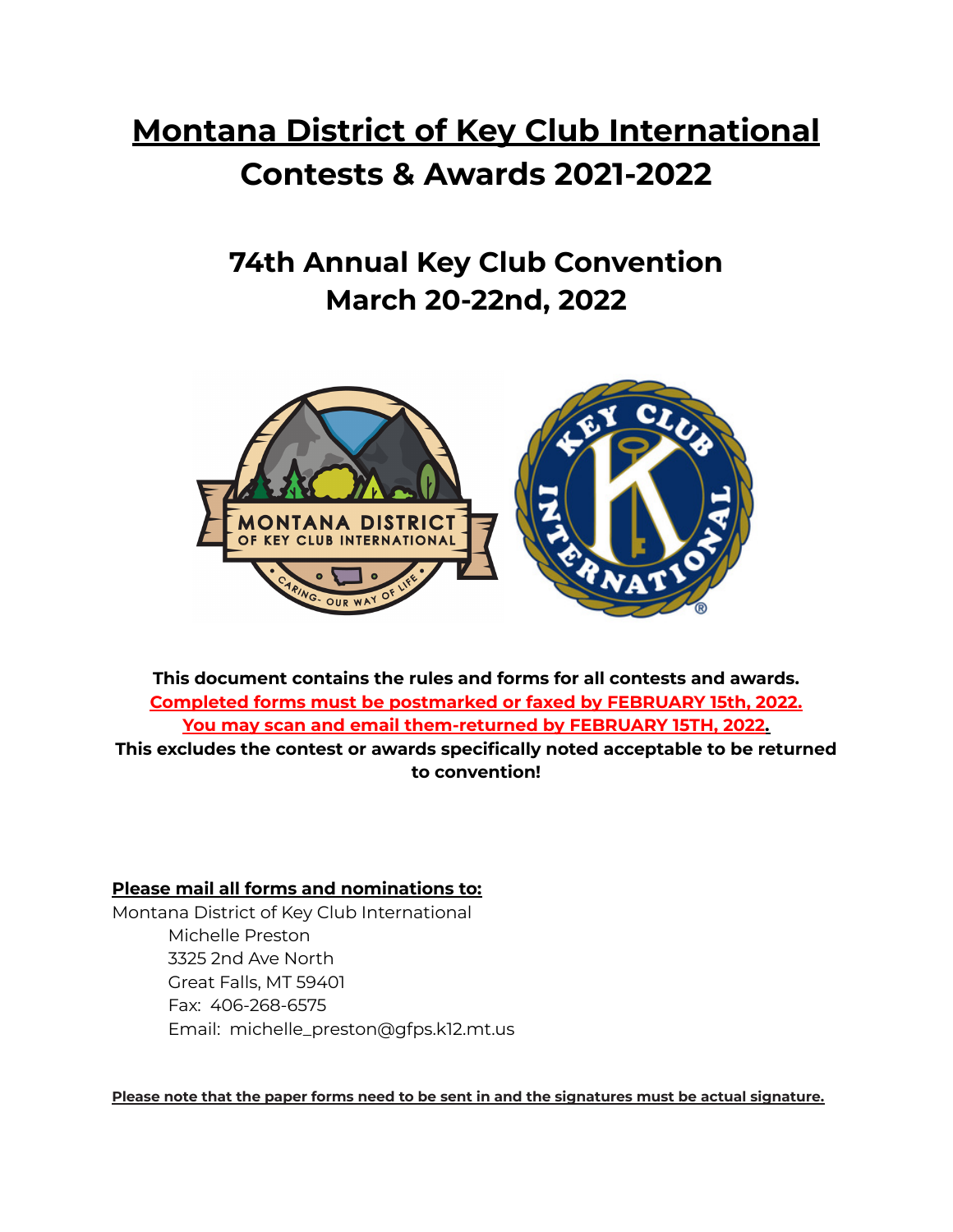## **Montana District of Key Club International Contests & Awards 2021-2022**

**74th Annual Key Club Convention March 20-22nd, 2022**



**This document contains the rules and forms for all contests and awards. Completed forms must be postmarked or faxed by FEBRUARY 15th, 2022. You may scan and email them-returned by FEBRUARY 15TH, 2022. This excludes the contest or awards specifically noted acceptable to be returned to convention!**

### **Please mail all forms and nominations to:**

Montana District of Key Club International Michelle Preston 3325 2nd Ave North Great Falls, MT 59401 Fax: 406-268-6575 Email: michelle\_preston@gfps.k12.mt.us

**Please note that the paper forms need to be sent in and the signatures must be actual signature.**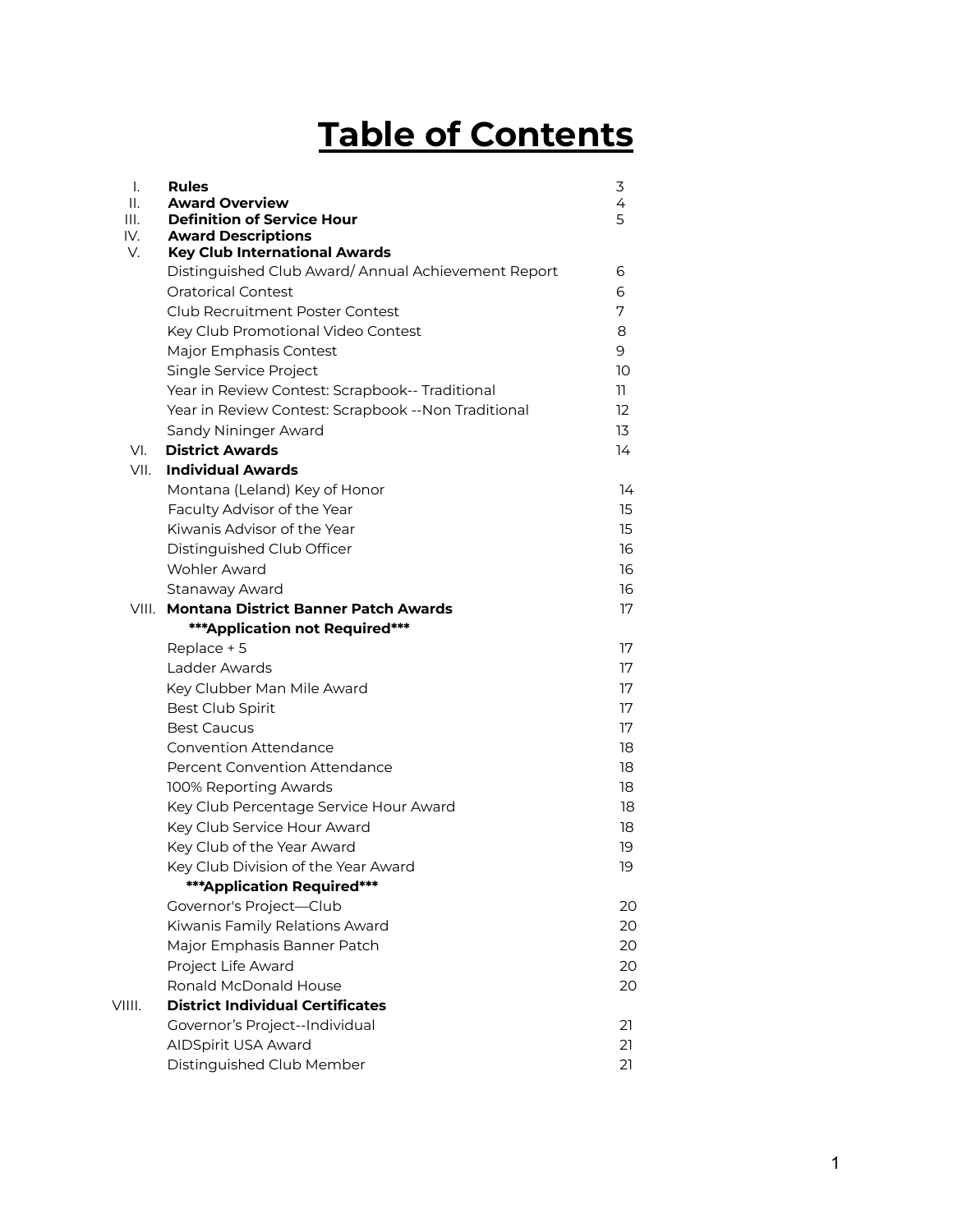## **Table of Contents**

| Ι.<br>Ш.<br>III.<br>IV. | <b>Rules</b><br><b>Award Overview</b><br><b>Definition of Service Hour</b><br><b>Award Descriptions</b> | 3<br>4<br>5 |
|-------------------------|---------------------------------------------------------------------------------------------------------|-------------|
| V.                      | <b>Key Club International Awards</b>                                                                    |             |
|                         | Distinguished Club Award/ Annual Achievement Report                                                     | 6           |
|                         | Oratorical Contest                                                                                      | 6           |
|                         | <b>Club Recruitment Poster Contest</b>                                                                  | 7           |
|                         | Key Club Promotional Video Contest                                                                      | 8           |
|                         | Major Emphasis Contest                                                                                  | 9           |
|                         | Single Service Project                                                                                  | 10          |
|                         | Year in Review Contest: Scrapbook-- Traditional                                                         | 11.         |
|                         | Year in Review Contest: Scrapbook -- Non Traditional                                                    | 12          |
|                         | Sandy Nininger Award                                                                                    | 13          |
| VI.                     | <b>District Awards</b>                                                                                  | 14          |
| VII.                    | <b>Individual Awards</b>                                                                                |             |
|                         | Montana (Leland) Key of Honor                                                                           | 14          |
|                         | Faculty Advisor of the Year                                                                             | 15          |
|                         | Kiwanis Advisor of the Year                                                                             | 15          |
|                         | Distinguished Club Officer                                                                              | 16          |
|                         | Wohler Award                                                                                            | 16          |
|                         | Stanaway Award                                                                                          | 16          |
|                         | VIII. Montana District Banner Patch Awards                                                              | 17          |
|                         | *** Application not Required***                                                                         |             |
|                         | Replace + 5                                                                                             | 17          |
|                         | Ladder Awards                                                                                           | 17          |
|                         | Key Clubber Man Mile Award                                                                              | 17          |
|                         | Best Club Spirit                                                                                        | 17          |
|                         | <b>Best Caucus</b>                                                                                      | 17          |
|                         | <b>Convention Attendance</b>                                                                            | 18          |
|                         | Percent Convention Attendance                                                                           | 18          |
|                         | 100% Reporting Awards                                                                                   | 18          |
|                         | Key Club Percentage Service Hour Award                                                                  | 18          |
|                         | Key Club Service Hour Award                                                                             | 18          |
|                         | Key Club of the Year Award                                                                              | 19          |
|                         | Key Club Division of the Year Award                                                                     | 19          |
|                         | <b>***Application Required***</b>                                                                       |             |
|                         | Governor's Project-Club                                                                                 | 20          |
|                         | Kiwanis Family Relations Award                                                                          | 20          |
|                         | Major Emphasis Banner Patch                                                                             | 20          |
|                         | Project Life Award                                                                                      | 20          |
|                         | Ronald McDonald House                                                                                   | 20          |
| VIIII.                  | <b>District Individual Certificates</b>                                                                 |             |
|                         | Governor's Project--Individual                                                                          | 21          |
|                         | AIDSpirit USA Award                                                                                     | 21          |
|                         | Distinguished Club Member                                                                               | 21          |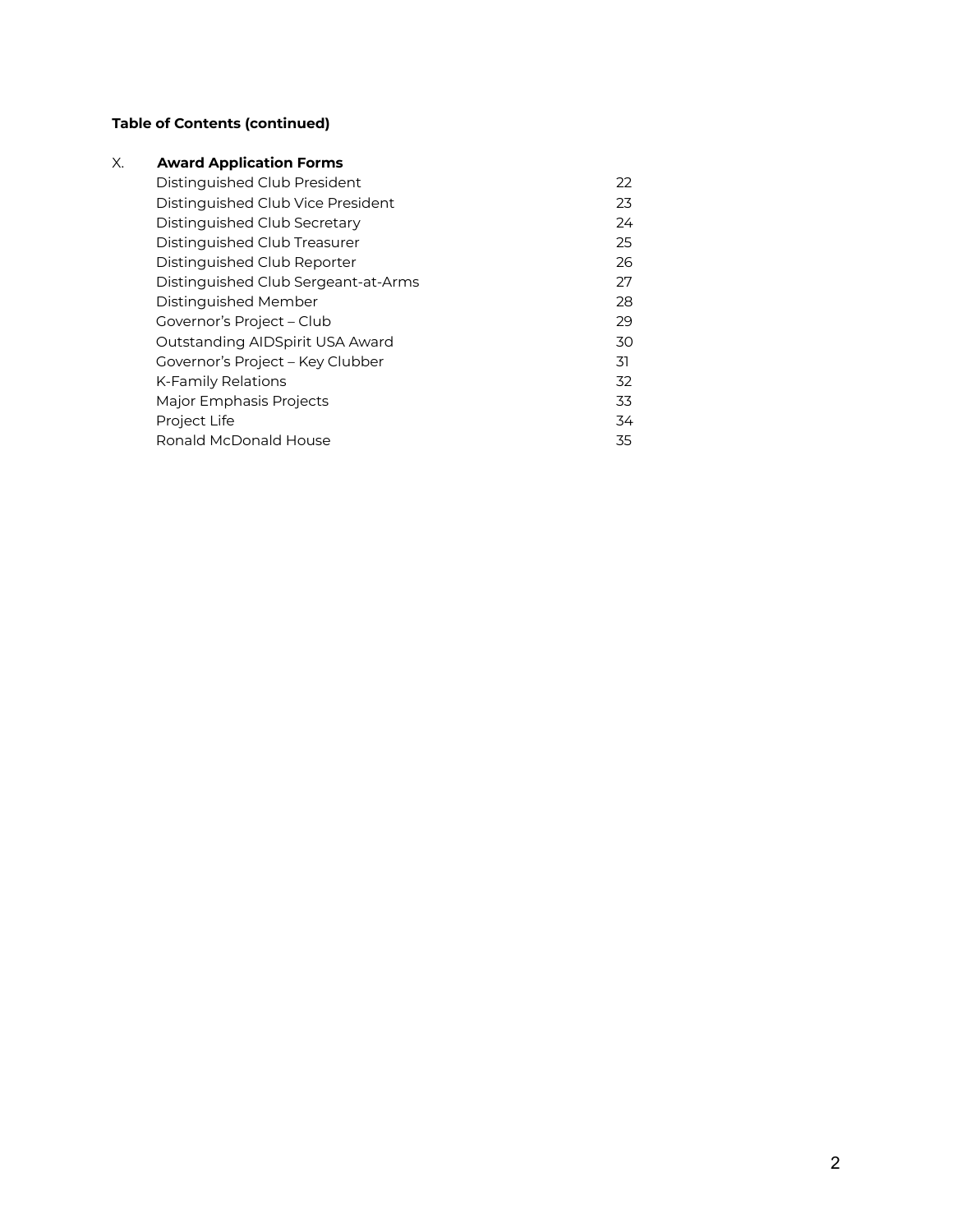### **Table of Contents (continued)**

| Х. | <b>Award Application Forms</b>      |    |
|----|-------------------------------------|----|
|    | Distinguished Club President        | 22 |
|    | Distinguished Club Vice President   | 23 |
|    | Distinguished Club Secretary        | 24 |
|    | Distinguished Club Treasurer        | 25 |
|    | Distinguished Club Reporter         | 26 |
|    | Distinguished Club Sergeant-at-Arms | 27 |
|    | Distinguished Member                | 28 |
|    | Governor's Project - Club           | 29 |
|    | Outstanding AIDSpirit USA Award     | 30 |
|    | Governor's Project - Key Clubber    | 31 |
|    | K-Family Relations                  | 32 |
|    | Major Emphasis Projects             | 33 |
|    | Project Life                        | 34 |
|    | Ronald McDonald House               | 35 |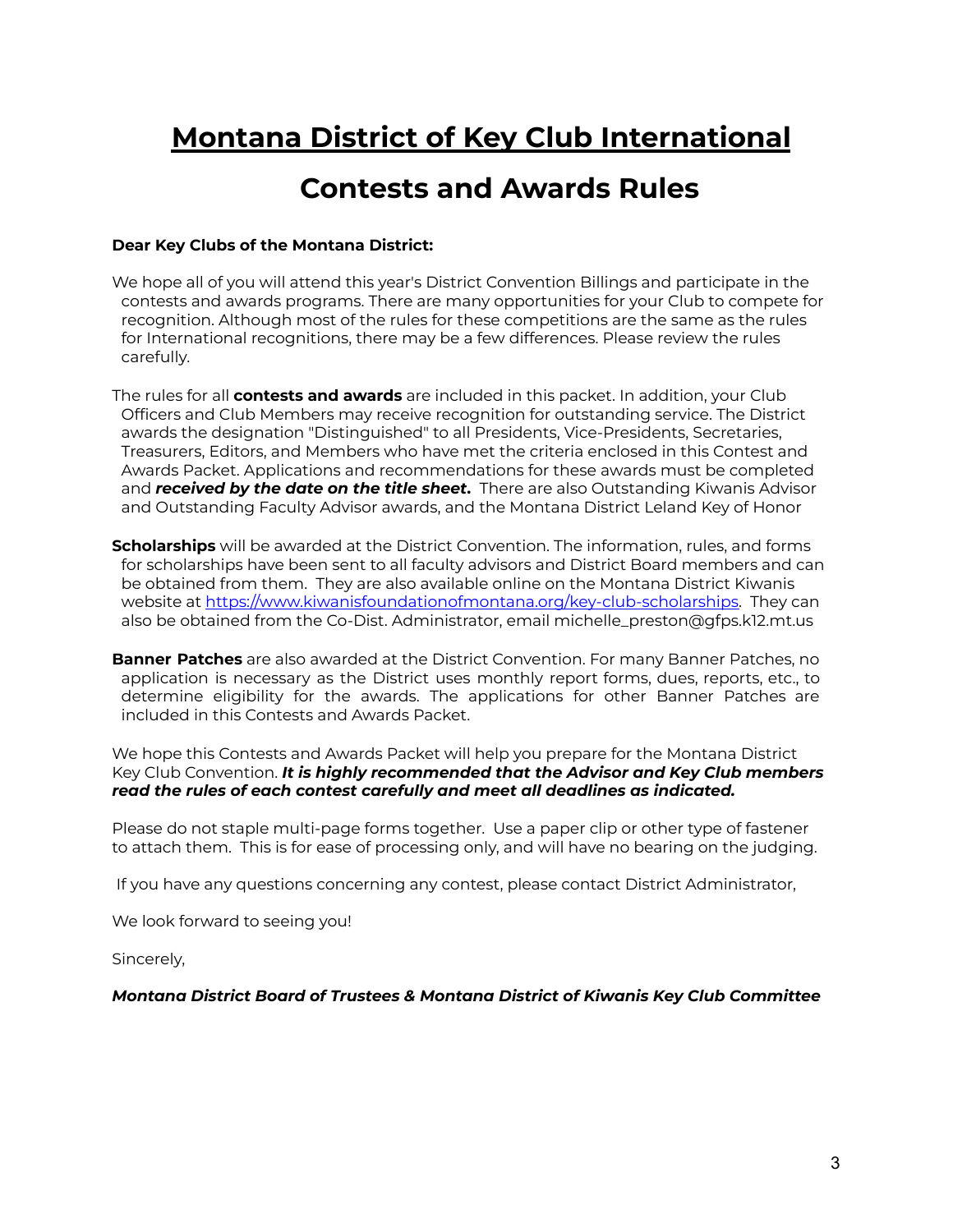## **Montana District of Key Club International**

## **Contests and Awards Rules**

### **Dear Key Clubs of the Montana District:**

- We hope all of you will attend this year's District Convention Billings and participate in the contests and awards programs. There are many opportunities for your Club to compete for recognition. Although most of the rules for these competitions are the same as the rules for International recognitions, there may be a few differences. Please review the rules carefully.
- The rules for all **contests and awards** are included in this packet. In addition, your Club Officers and Club Members may receive recognition for outstanding service. The District awards the designation "Distinguished" to all Presidents, Vice-Presidents, Secretaries, Treasurers, Editors, and Members who have met the criteria enclosed in this Contest and Awards Packet. Applications and recommendations for these awards must be completed and *received by the date on the title sheet***.** There are also Outstanding Kiwanis Advisor and Outstanding Faculty Advisor awards, and the Montana District Leland Key of Honor
- **Scholarships** will be awarded at the District Convention. The information, rules, and forms for scholarships have been sent to all faculty advisors and District Board members and can be obtained from them. They are also available online on the Montana District Kiwanis website at https://www.kiwanisfoundationofmontana.org/key-club-scholarships. They can also be obtained from the Co-Dist. Administrator, email michelle\_preston@gfps.k12.mt.us
- **Banner Patches** are also awarded at the District Convention. For many Banner Patches, no application is necessary as the District uses monthly report forms, dues, reports, etc., to determine eligibility for the awards. The applications for other Banner Patches are included in this Contests and Awards Packet.

We hope this Contests and Awards Packet will help you prepare for the Montana District Key Club Convention. *It is highly recommended that the Advisor and Key Club members read the rules of each contest carefully and meet all deadlines as indicated.*

Please do not staple multi-page forms together. Use a paper clip or other type of fastener to attach them. This is for ease of processing only, and will have no bearing on the judging.

If you have any questions concerning any contest, please contact District Administrator,

We look forward to seeing you!

Sincerely,

*Montana District Board of Trustees & Montana District of Kiwanis Key Club Committee*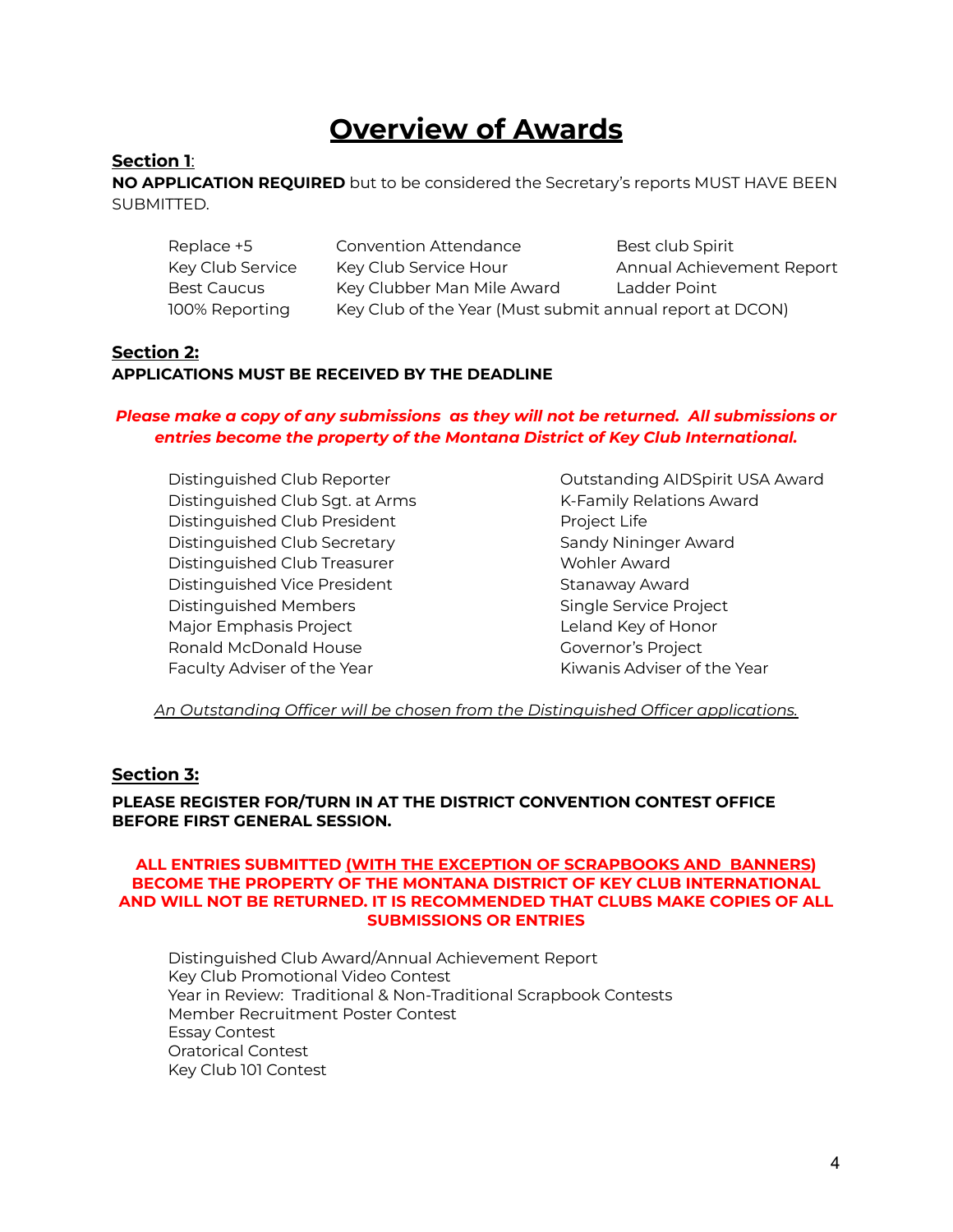## **Overview of Awards**

### **Section 1**:

**NO APPLICATION REQUIRED** but to be considered the Secretary's reports MUST HAVE BEEN SUBMITTED.

| Replace +5       | <b>Convention Attendance</b>                             | Best club Spirit          |
|------------------|----------------------------------------------------------|---------------------------|
| Key Club Service | Key Club Service Hour                                    | Annual Achievement Report |
| Best Caucus      | Key Clubber Man Mile Award                               | Ladder Point              |
| 100% Reporting   | Key Club of the Year (Must submit annual report at DCON) |                           |

### **Section 2: APPLICATIONS MUST BE RECEIVED BY THE DEADLINE**

### *Please make a copy of any submissions as they will not be returned. All submissions or entries become the property of the Montana District of Key Club International.*

Distinguished Club Sqt. at Arms K-Family Relations Award Distinguished Club President **Project Life** Distinguished Club Secretary Sandy Nininger Award Distinguished Club Treasurer Wohler Award Distinguished Vice President Stanaway Award Distinguished Members Single Service Project Major Emphasis Project **Leland Key of Honor** Ronald McDonald House Governor's Project Faculty Adviser of the Year The Wear Kiwanis Adviser of the Year

Distinguished Club Reporter Outstanding AIDSpirit USA Award

*An Outstanding Officer will be chosen from the Distinguished Officer applications.*

### **Section 3:**

### **PLEASE REGISTER FOR/TURN IN AT THE DISTRICT CONVENTION CONTEST OFFICE BEFORE FIRST GENERAL SESSION.**

### **ALL ENTRIES SUBMITTED (WITH THE EXCEPTION OF SCRAPBOOKS AND BANNERS) BECOME THE PROPERTY OF THE MONTANA DISTRICT OF KEY CLUB INTERNATIONAL AND WILL NOT BE RETURNED. IT IS RECOMMENDED THAT CLUBS MAKE COPIES OF ALL SUBMISSIONS OR ENTRIES**

Distinguished Club Award/Annual Achievement Report Key Club Promotional Video Contest Year in Review: Traditional & Non-Traditional Scrapbook Contests Member Recruitment Poster Contest Essay Contest Oratorical Contest Key Club 101 Contest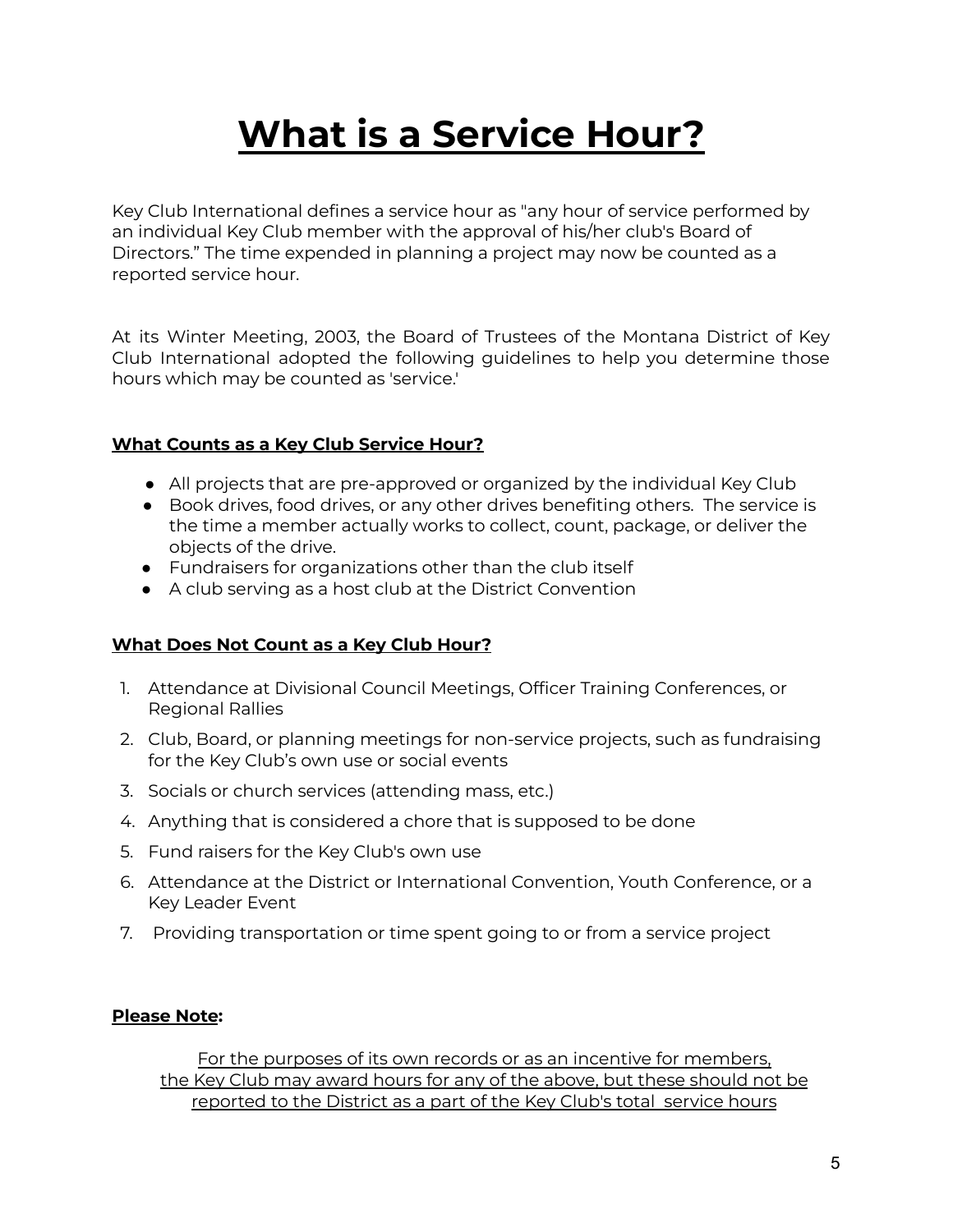## **What is a Service Hour?**

Key Club International defines a service hour as "any hour of service performed by an individual Key Club member with the approval of his/her club's Board of Directors." The time expended in planning a project may now be counted as a reported service hour.

At its Winter Meeting, 2003, the Board of Trustees of the Montana District of Key Club International adopted the following guidelines to help you determine those hours which may be counted as 'service.'

### **What Counts as a Key Club Service Hour?**

- All projects that are pre-approved or organized by the individual Key Club
- Book drives, food drives, or any other drives benefiting others. The service is the time a member actually works to collect, count, package, or deliver the objects of the drive.
- Fundraisers for organizations other than the club itself
- A club serving as a host club at the District Convention

### **What Does Not Count as a Key Club Hour?**

- 1. Attendance at Divisional Council Meetings, Officer Training Conferences, or Regional Rallies
- 2. Club, Board, or planning meetings for non-service projects, such as fundraising for the Key Club's own use or social events
- 3. Socials or church services (attending mass, etc.)
- 4. Anything that is considered a chore that is supposed to be done
- 5. Fund raisers for the Key Club's own use
- 6. Attendance at the District or International Convention, Youth Conference, or a Key Leader Event
- 7. Providing transportation or time spent going to or from a service project

### **Please Note:**

For the purposes of its own records or as an incentive for members, the Key Club may award hours for any of the above, but these should not be reported to the District as a part of the Key Club's total service hours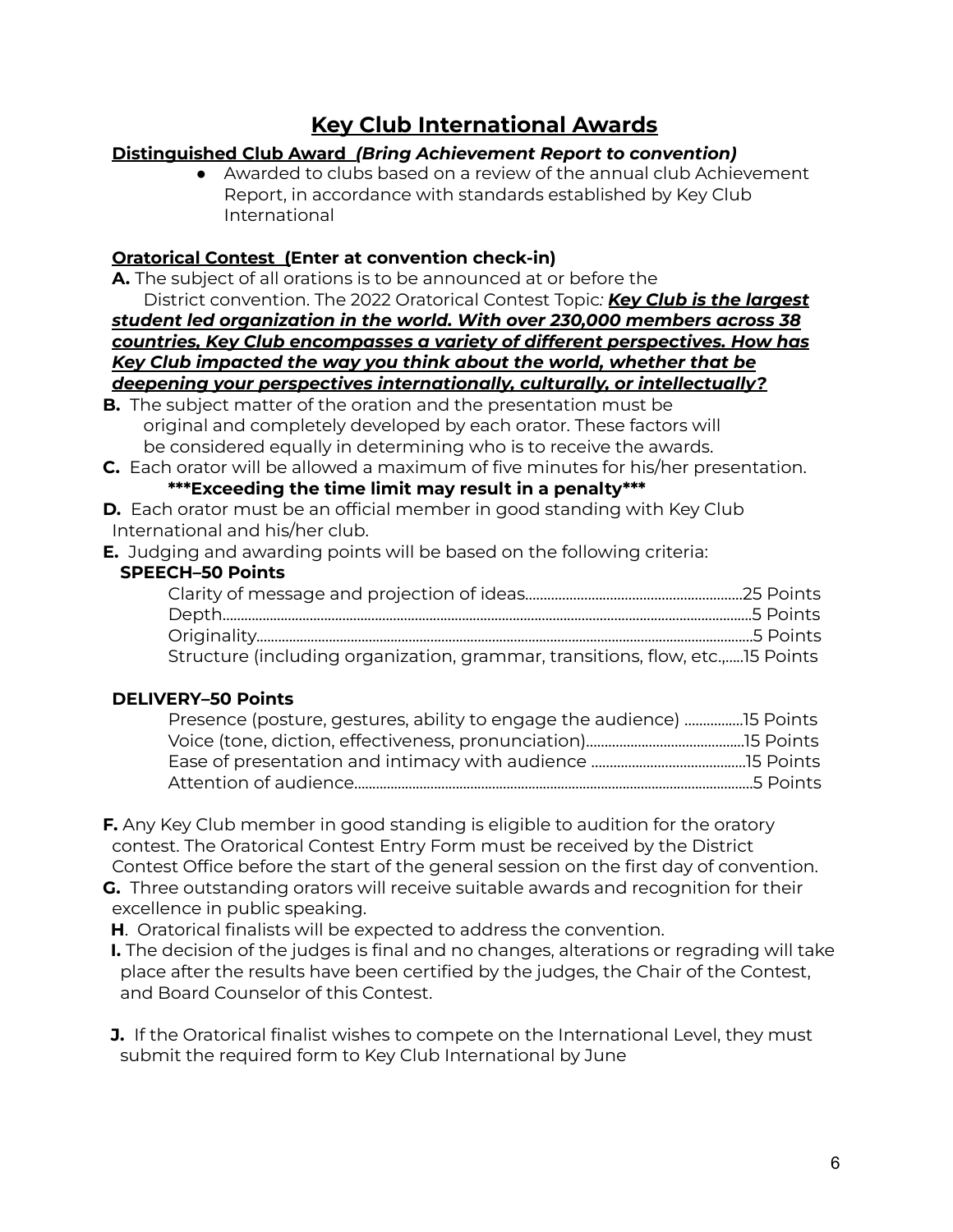### **Key Club International Awards**

### **Distinguished Club Award** *(Bring Achievement Report to convention)*

● Awarded to clubs based on a review of the annual club Achievement Report, in accordance with standards established by Key Club International

### **Oratorical Contest (Enter at convention check-in)**

**A.** The subject of all orations is to be announced at or before the

District convention. The 2022 Oratorical Contest Topic*: Key Club is the largest student led organization in the world. With over 230,000 members across 38 countries, Key Club encompasses a variety of different perspectives. How has Key Club impacted the way you think about the world, whether that be deepening your perspectives internationally, culturally, or intellectually?*

- **B.** The subject matter of the oration and the presentation must be original and completely developed by each orator. These factors will be considered equally in determining who is to receive the awards.
- **C.** Each orator will be allowed a maximum of five minutes for his/her presentation. **\*\*\*Exceeding the time limit may result in a penalty\*\*\***
- **D.** Each orator must be an official member in good standing with Key Club International and his/her club.
- **E.** Judging and awarding points will be based on the following criteria:

### **SPEECH–50 Points**

| Structure (including organization, grammar, transitions, flow, etc., IS Points |  |
|--------------------------------------------------------------------------------|--|

### **DELIVERY–50 Points**

- **F.** Any Key Club member in good standing is eligible to audition for the oratory contest. The Oratorical Contest Entry Form must be received by the District Contest Office before the start of the general session on the first day of convention.
- **G.** Three outstanding orators will receive suitable awards and recognition for their excellence in public speaking.
- **H**. Oratorical finalists will be expected to address the convention.
- **I.** The decision of the judges is final and no changes, alterations or regrading will take place after the results have been certified by the judges, the Chair of the Contest, and Board Counselor of this Contest.
- **J.** If the Oratorical finalist wishes to compete on the International Level, they must submit the required form to Key Club International by June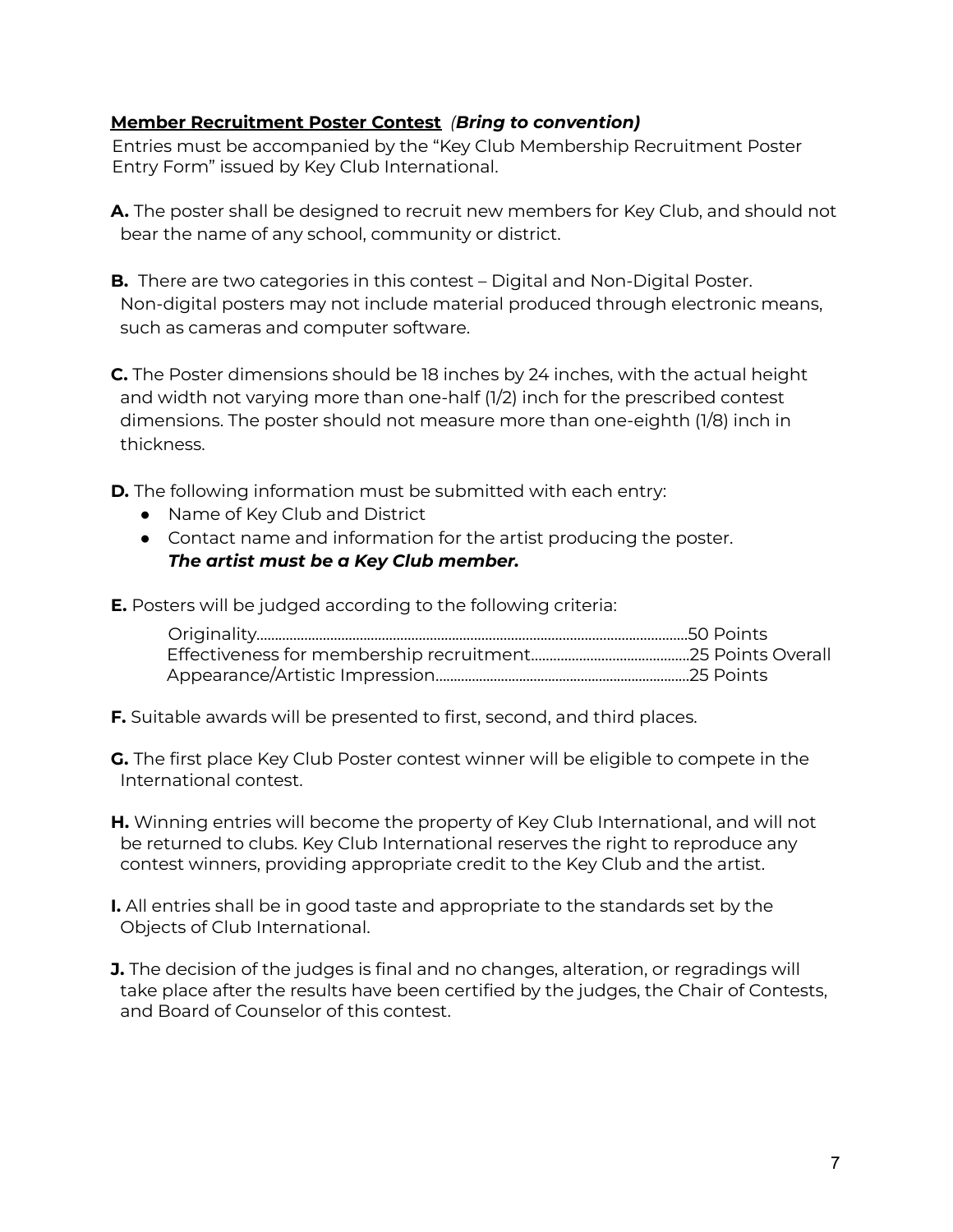### **Member Recruitment Poster Contest** *(Bring to convention)*

Entries must be accompanied by the "Key Club Membership Recruitment Poster Entry Form" issued by Key Club International.

- **A.** The poster shall be designed to recruit new members for Key Club, and should not bear the name of any school, community or district.
- **B.** There are two categories in this contest Digital and Non-Digital Poster. Non-digital posters may not include material produced through electronic means, such as cameras and computer software.

**C.** The Poster dimensions should be 18 inches by 24 inches, with the actual height and width not varying more than one-half (1/2) inch for the prescribed contest dimensions. The poster should not measure more than one-eighth (1/8) inch in thickness.

**D.** The following information must be submitted with each entry:

- Name of Key Club and District
- Contact name and information for the artist producing the poster. *The artist must be a Key Club member.*

**E.** Posters will be judged according to the following criteria:

**F.** Suitable awards will be presented to first, second, and third places.

**G.** The first place Key Club Poster contest winner will be eligible to compete in the International contest.

- **H.** Winning entries will become the property of Key Club International, and will not be returned to clubs. Key Club International reserves the right to reproduce any contest winners, providing appropriate credit to the Key Club and the artist.
- **I.** All entries shall be in good taste and appropriate to the standards set by the Objects of Club International.
- **J.** The decision of the judges is final and no changes, alteration, or regradings will take place after the results have been certified by the judges, the Chair of Contests, and Board of Counselor of this contest.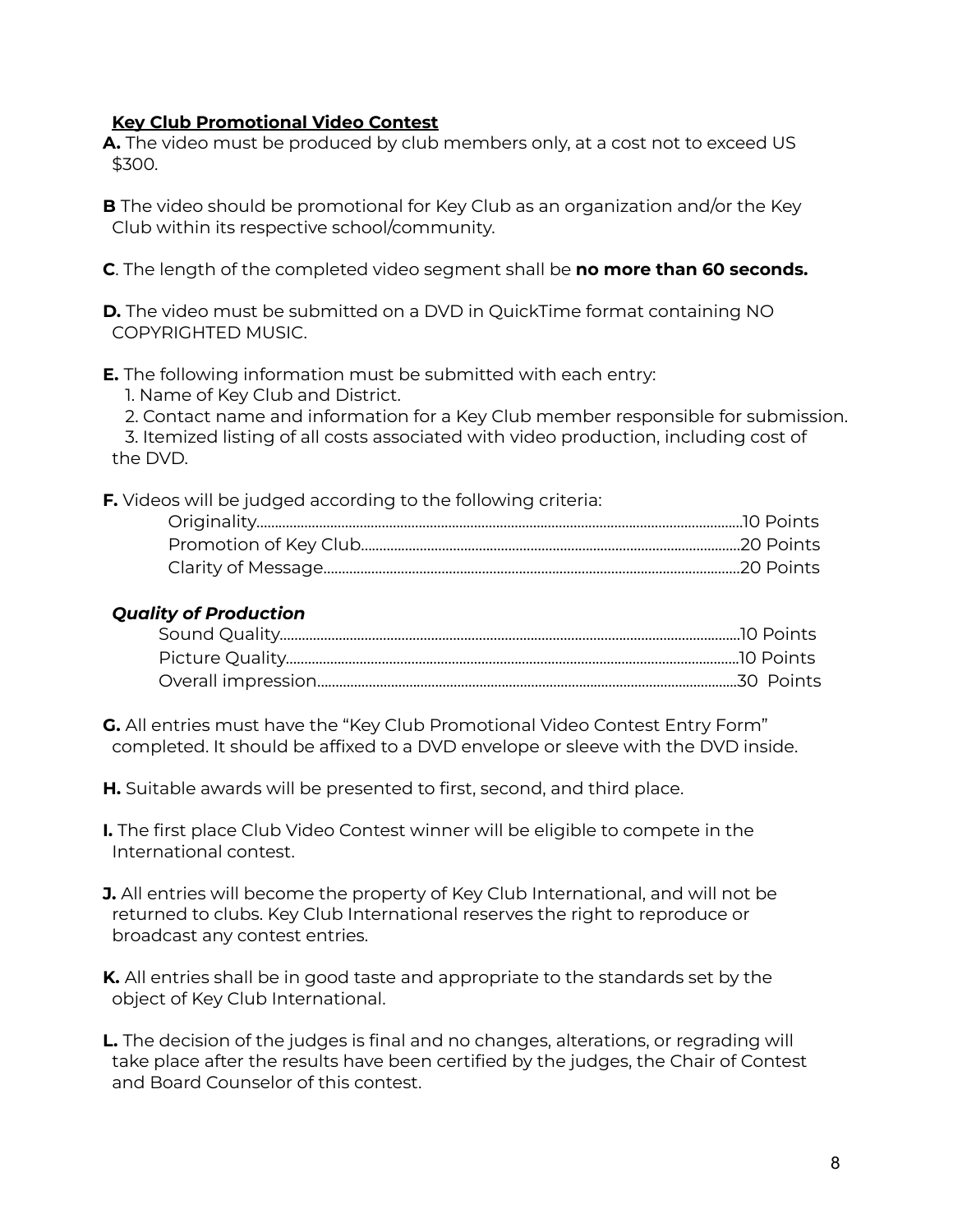### **Key Club Promotional Video Contest**

- **A.** The video must be produced by club members only, at a cost not to exceed US \$300.
- **B** The video should be promotional for Key Club as an organization and/or the Key Club within its respective school/community.
- **C**. The length of the completed video segment shall be **no more than 60 seconds.**
- **D.** The video must be submitted on a DVD in QuickTime format containing NO COPYRIGHTED MUSIC.
- **E.** The following information must be submitted with each entry:
	- 1. Name of Key Club and District.
	- 2. Contact name and information for a Key Club member responsible for submission.

3. Itemized listing of all costs associated with video production, including cost of the DVD.

**F.** Videos will be judged according to the following criteria:

### *Quality of Production*

- **G.** All entries must have the "Key Club Promotional Video Contest Entry Form" completed. It should be affixed to a DVD envelope or sleeve with the DVD inside.
- **H.** Suitable awards will be presented to first, second, and third place.
- **I.** The first place Club Video Contest winner will be eligible to compete in the International contest.
- **J.** All entries will become the property of Key Club International, and will not be returned to clubs. Key Club International reserves the right to reproduce or broadcast any contest entries.
- **K.** All entries shall be in good taste and appropriate to the standards set by the object of Key Club International.
- **L.** The decision of the judges is final and no changes, alterations, or regrading will take place after the results have been certified by the judges, the Chair of Contest and Board Counselor of this contest.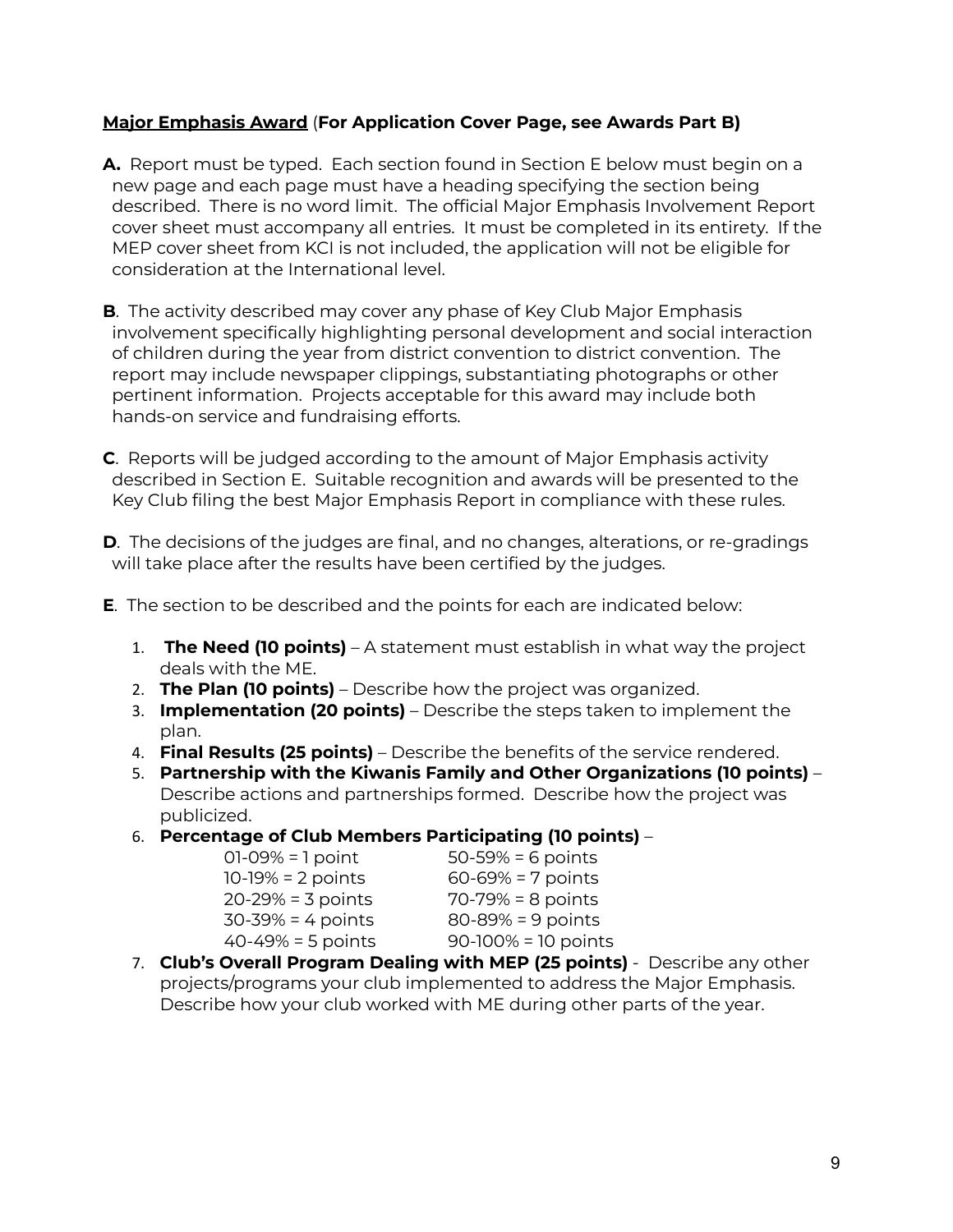### **Major Emphasis Award** (**For Application Cover Page, see Awards Part B)**

- **A.** Report must be typed. Each section found in Section E below must begin on a new page and each page must have a heading specifying the section being described. There is no word limit. The official Major Emphasis Involvement Report cover sheet must accompany all entries. It must be completed in its entirety. If the MEP cover sheet from KCI is not included, the application will not be eligible for consideration at the International level.
- **B**. The activity described may cover any phase of Key Club Major Emphasis involvement specifically highlighting personal development and social interaction of children during the year from district convention to district convention. The report may include newspaper clippings, substantiating photographs or other pertinent information. Projects acceptable for this award may include both hands-on service and fundraising efforts.
- **C**. Reports will be judged according to the amount of Major Emphasis activity described in Section E. Suitable recognition and awards will be presented to the Key Club filing the best Major Emphasis Report in compliance with these rules.
- **D**. The decisions of the judges are final, and no changes, alterations, or re-gradings will take place after the results have been certified by the judges.
- **E**. The section to be described and the points for each are indicated below:
	- 1. **The Need (10 points)** A statement must establish in what way the project deals with the ME.
	- 2. **The Plan (10 points)** Describe how the project was organized.
	- 3. **Implementation (20 points)** Describe the steps taken to implement the plan.
	- 4. **Final Results (25 points)** Describe the benefits of the service rendered.
	- 5. **Partnership with the Kiwanis Family and Other Organizations (10 points)** Describe actions and partnerships formed. Describe how the project was publicized.
	- 6. **Percentage of Club Members Participating (10 points)** –

| $01-09\% = 1$ point    | $50 - 59\% = 6$ points   |
|------------------------|--------------------------|
| $10 - 19% = 2$ points  | $60 - 69\% = 7$ points   |
| $20 - 29% = 3$ points  | $70 - 79% = 8$ points    |
| $30 - 39% = 4$ points  | $80 - 89% = 9$ points    |
| $40 - 49\% = 5$ points | $90 - 100\% = 10$ points |
|                        |                          |

7. **Club's Overall Program Dealing with MEP (25 points)** - Describe any other projects/programs your club implemented to address the Major Emphasis. Describe how your club worked with ME during other parts of the year.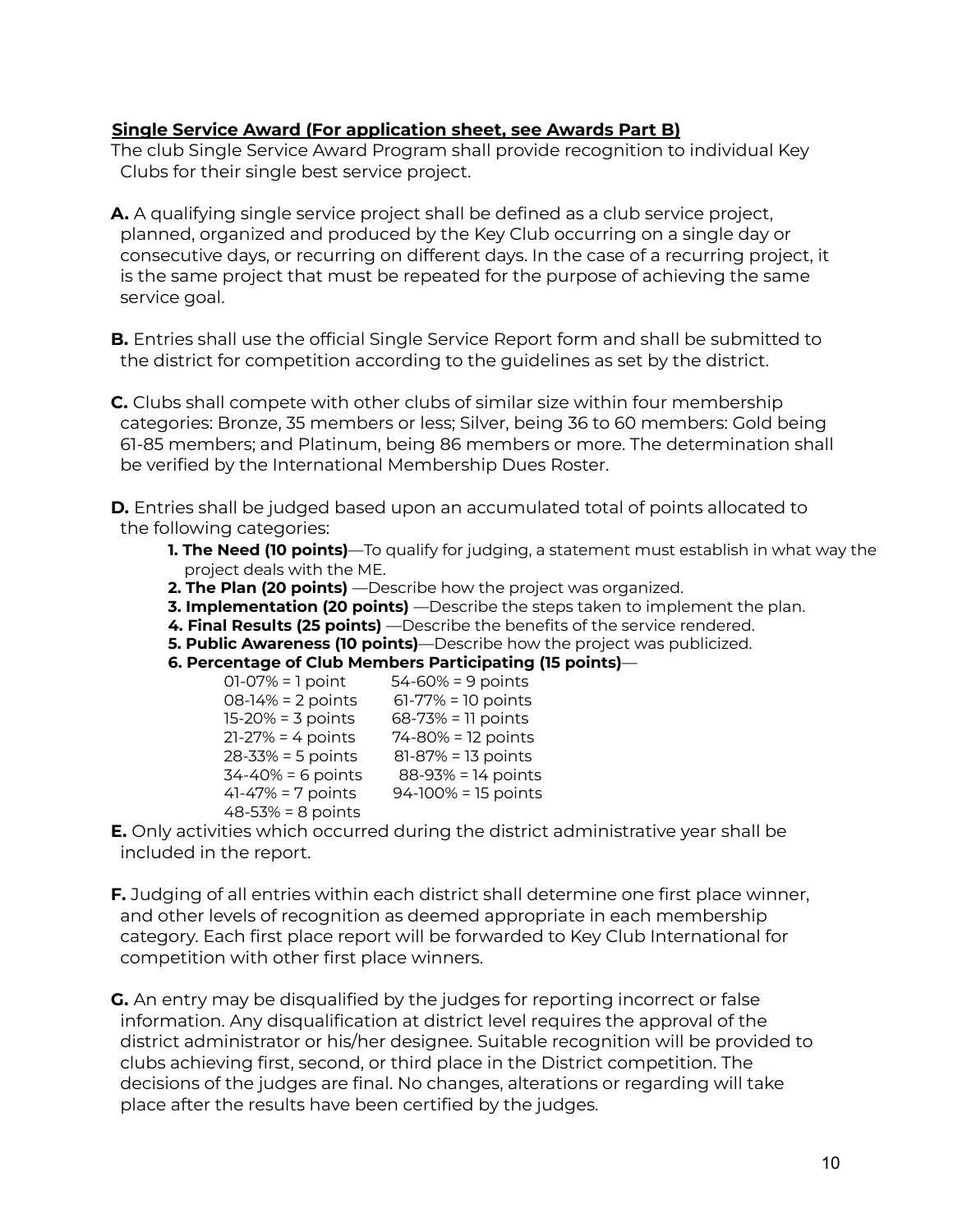### **Single Service Award (For application sheet, see Awards Part B)**

The club Single Service Award Program shall provide recognition to individual Key Clubs for their single best service project.

**A.** A qualifying single service project shall be defined as a club service project, planned, organized and produced by the Key Club occurring on a single day or consecutive days, or recurring on different days. In the case of a recurring project, it is the same project that must be repeated for the purpose of achieving the same service goal.

**B.** Entries shall use the official Single Service Report form and shall be submitted to the district for competition according to the guidelines as set by the district.

**C.** Clubs shall compete with other clubs of similar size within four membership categories: Bronze, 35 members or less; Silver, being 36 to 60 members: Gold being 61-85 members; and Platinum, being 86 members or more. The determination shall be verified by the International Membership Dues Roster.

**D.** Entries shall be judged based upon an accumulated total of points allocated to the following categories:

- **1. The Need (10 points)**—To qualify for judging, a statement must establish in what way the project deals with the ME.
- **2. The Plan (20 points)** —Describe how the project was organized.
- **3. Implementation (20 points)** —Describe the steps taken to implement the plan.
- **4. Final Results (25 points)** —Describe the benefits of the service rendered.
- **5. Public Awareness (10 points)**—Describe how the project was publicized.
- **6. Percentage of Club Members Participating (15 points)**—

| $01-07% = 1$ point    | $54 - 60\% = 9$ points |
|-----------------------|------------------------|
| 08-14% = 2 points     | $61-77% = 10$ points   |
| $15 - 20% = 3$ points | 68-73% = 11 points     |
| $21-27% = 4$ points   | 74-80% = 12 points     |
| $28 - 33% = 5$ points | 81-87% = 13 points     |
| $34 - 40% = 6$ points | 88-93% = 14 points     |
| $41-47% = 7$ points   | 94-100% = 15 points    |
| 48-53% = 8 points     |                        |

**E.** Only activities which occurred during the district administrative year shall be included in the report.

**F.** Judging of all entries within each district shall determine one first place winner, and other levels of recognition as deemed appropriate in each membership category. Each first place report will be forwarded to Key Club International for competition with other first place winners.

**G.** An entry may be disqualified by the judges for reporting incorrect or false information. Any disqualification at district level requires the approval of the district administrator or his/her designee. Suitable recognition will be provided to clubs achieving first, second, or third place in the District competition. The decisions of the judges are final. No changes, alterations or regarding will take place after the results have been certified by the judges.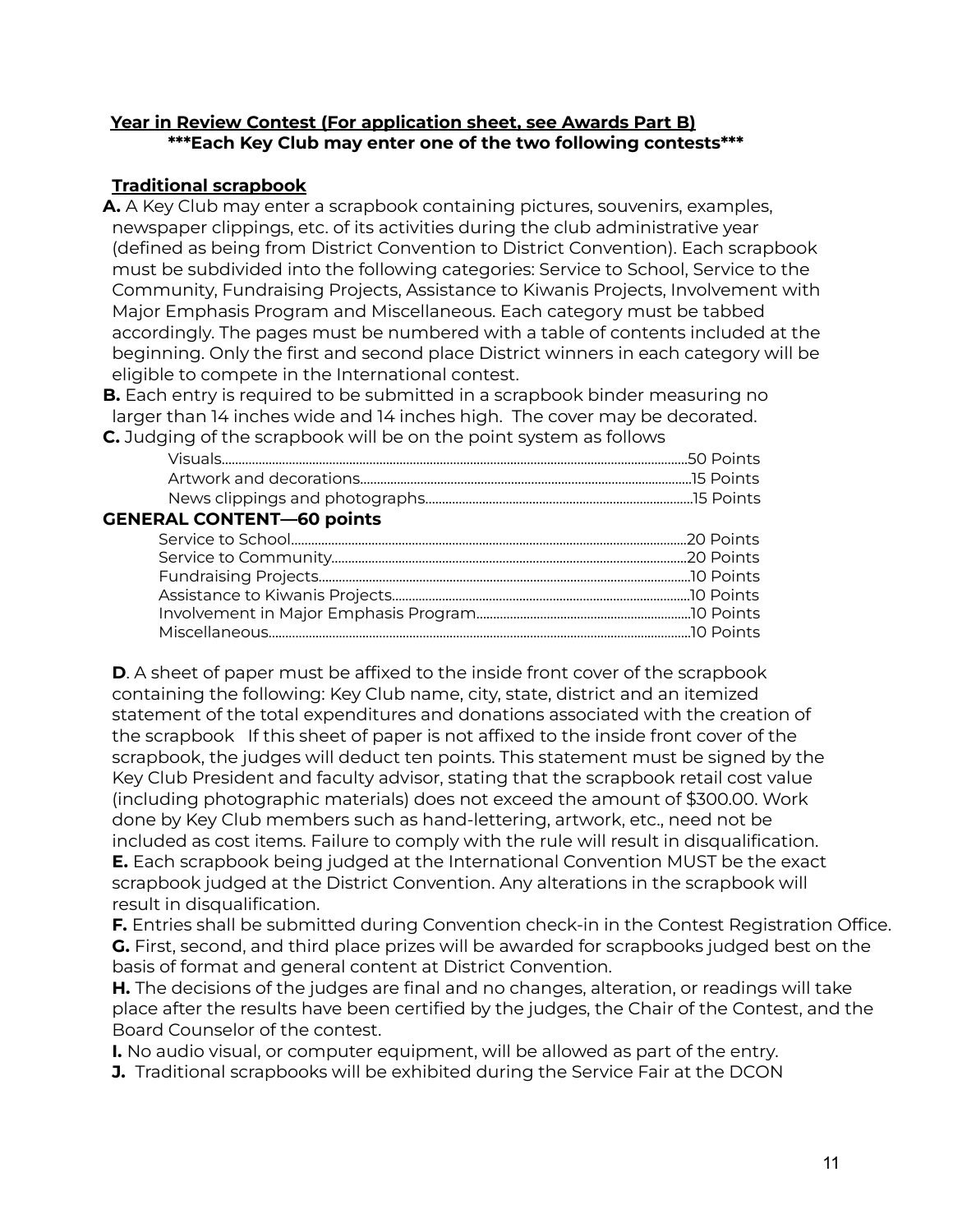### **Year in Review Contest (For application sheet, see Awards Part B) \*\*\*Each Key Club may enter one of the two following contests\*\*\***

### **Traditional scrapbook**

**A.** A Key Club may enter a scrapbook containing pictures, souvenirs, examples, newspaper clippings, etc. of its activities during the club administrative year (defined as being from District Convention to District Convention). Each scrapbook must be subdivided into the following categories: Service to School, Service to the Community, Fundraising Projects, Assistance to Kiwanis Projects, Involvement with Major Emphasis Program and Miscellaneous. Each category must be tabbed accordingly. The pages must be numbered with a table of contents included at the beginning. Only the first and second place District winners in each category will be eligible to compete in the International contest.

**B.** Each entry is required to be submitted in a scrapbook binder measuring no larger than 14 inches wide and 14 inches high. The cover may be decorated. **C.** Judging of the scrapbook will be on the point system as follows

| AL CONFENIT COMMISSION |  |
|------------------------|--|
|                        |  |
|                        |  |
|                        |  |
|                        |  |

**GENERAL CONTENT—60 points**

**D**. A sheet of paper must be affixed to the inside front cover of the scrapbook containing the following: Key Club name, city, state, district and an itemized statement of the total expenditures and donations associated with the creation of the scrapbook If this sheet of paper is not affixed to the inside front cover of the scrapbook, the judges will deduct ten points. This statement must be signed by the Key Club President and faculty advisor, stating that the scrapbook retail cost value (including photographic materials) does not exceed the amount of \$300.00. Work done by Key Club members such as hand-lettering, artwork, etc., need not be included as cost items. Failure to comply with the rule will result in disqualification. **E.** Each scrapbook being judged at the International Convention MUST be the exact scrapbook judged at the District Convention. Any alterations in the scrapbook will result in disqualification.

**F.** Entries shall be submitted during Convention check-in in the Contest Registration Office. **G.** First, second, and third place prizes will be awarded for scrapbooks judged best on the basis of format and general content at District Convention.

**H.** The decisions of the judges are final and no changes, alteration, or readings will take place after the results have been certified by the judges, the Chair of the Contest, and the Board Counselor of the contest.

**I.** No audio visual, or computer equipment, will be allowed as part of the entry.

**J.** Traditional scrapbooks will be exhibited during the Service Fair at the DCON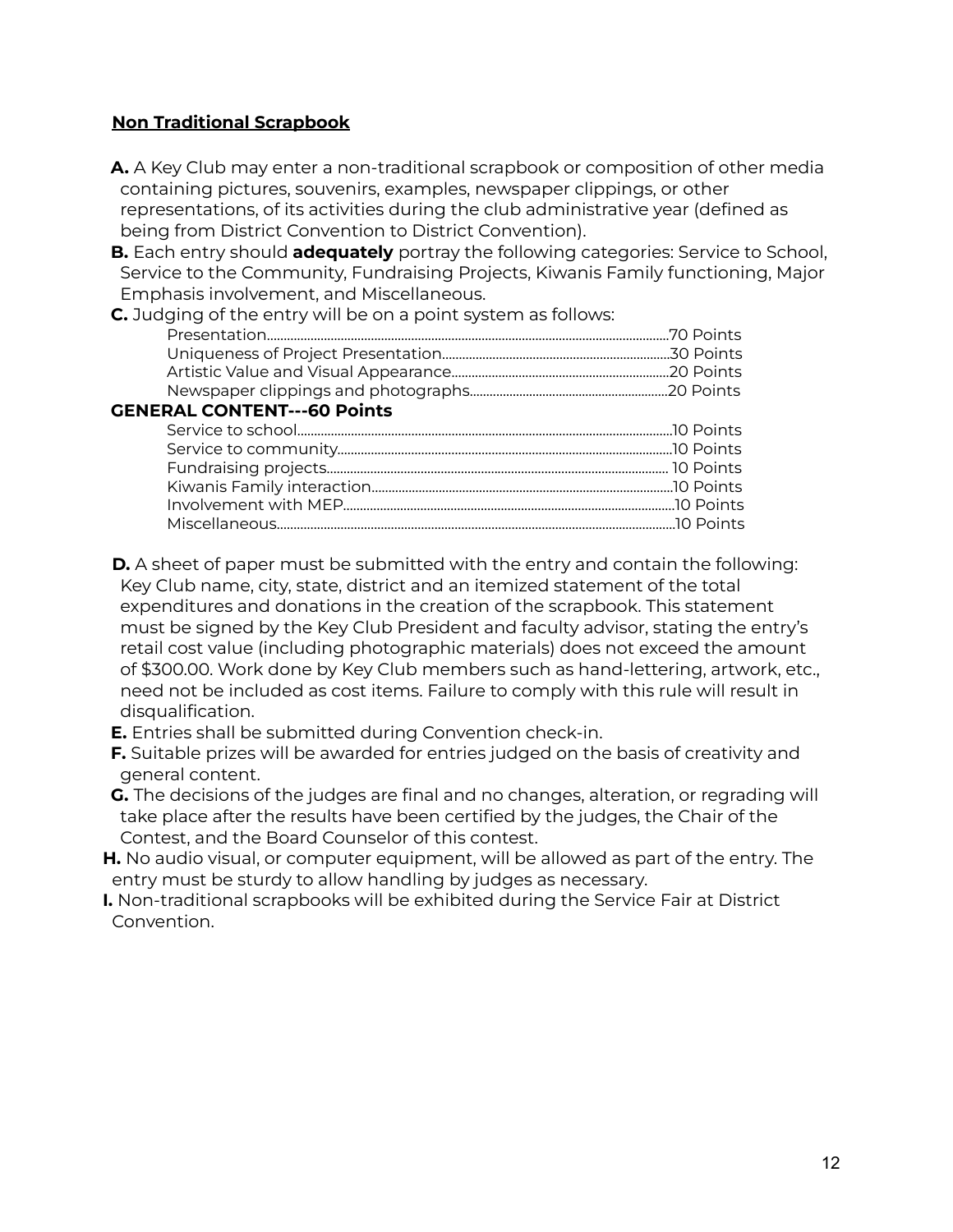### **Non Traditional Scrapbook**

- **A.** A Key Club may enter a non-traditional scrapbook or composition of other media containing pictures, souvenirs, examples, newspaper clippings, or other representations, of its activities during the club administrative year (defined as being from District Convention to District Convention).
- **B.** Each entry should **adequately** portray the following categories: Service to School, Service to the Community, Fundraising Projects, Kiwanis Family functioning, Major Emphasis involvement, and Miscellaneous.

**C.** Judging of the entry will be on a point system as follows:

| <b>GENERAL CONTENT---60 Points</b> |  |
|------------------------------------|--|
|                                    |  |
|                                    |  |
|                                    |  |
|                                    |  |
|                                    |  |
|                                    |  |

**D.** A sheet of paper must be submitted with the entry and contain the following: Key Club name, city, state, district and an itemized statement of the total expenditures and donations in the creation of the scrapbook. This statement must be signed by the Key Club President and faculty advisor, stating the entry's retail cost value (including photographic materials) does not exceed the amount of \$300.00. Work done by Key Club members such as hand-lettering, artwork, etc., need not be included as cost items. Failure to comply with this rule will result in disqualification.

**E.** Entries shall be submitted during Convention check-in.

**F.** Suitable prizes will be awarded for entries judged on the basis of creativity and general content.

**G.** The decisions of the judges are final and no changes, alteration, or regrading will take place after the results have been certified by the judges, the Chair of the Contest, and the Board Counselor of this contest.

**H.** No audio visual, or computer equipment, will be allowed as part of the entry. The entry must be sturdy to allow handling by judges as necessary.

**I.** Non-traditional scrapbooks will be exhibited during the Service Fair at District Convention.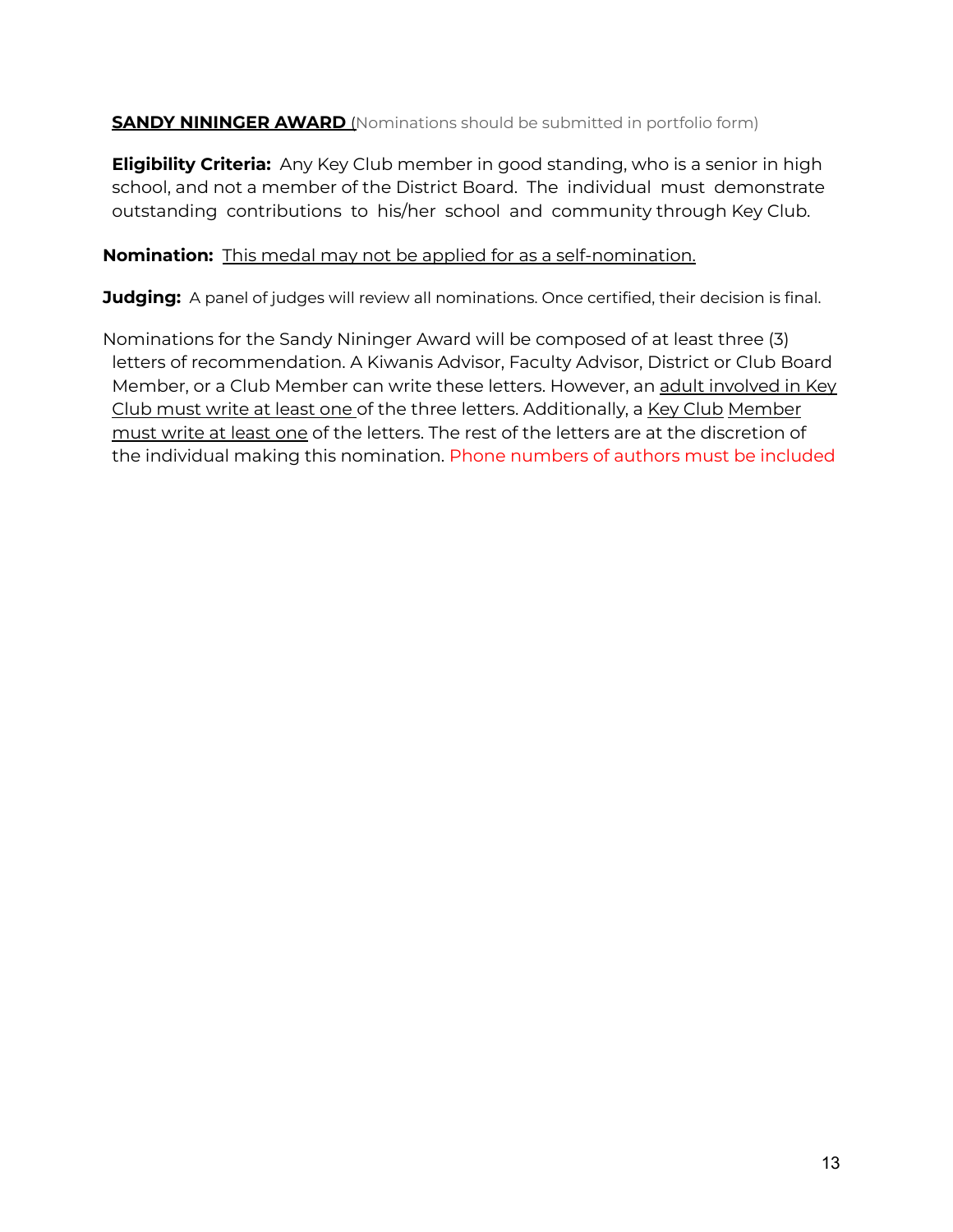**SANDY NININGER AWARD** (Nominations should be submitted in portfolio form)

**Eligibility Criteria:** Any Key Club member in good standing, who is a senior in high school, and not a member of the District Board. The individual must demonstrate outstanding contributions to his/her school and community through Key Club.

### **Nomination:** This medal may not be applied for as a self-nomination.

**Judging:** A panel of judges will review all nominations. Once certified, their decision is final.

Nominations for the Sandy Nininger Award will be composed of at least three (3) letters of recommendation. A Kiwanis Advisor, Faculty Advisor, District or Club Board Member, or a Club Member can write these letters. However, an adult involved in Key Club must write at least one of the three letters. Additionally, a Key Club Member must write at least one of the letters. The rest of the letters are at the discretion of the individual making this nomination. Phone numbers of authors must be included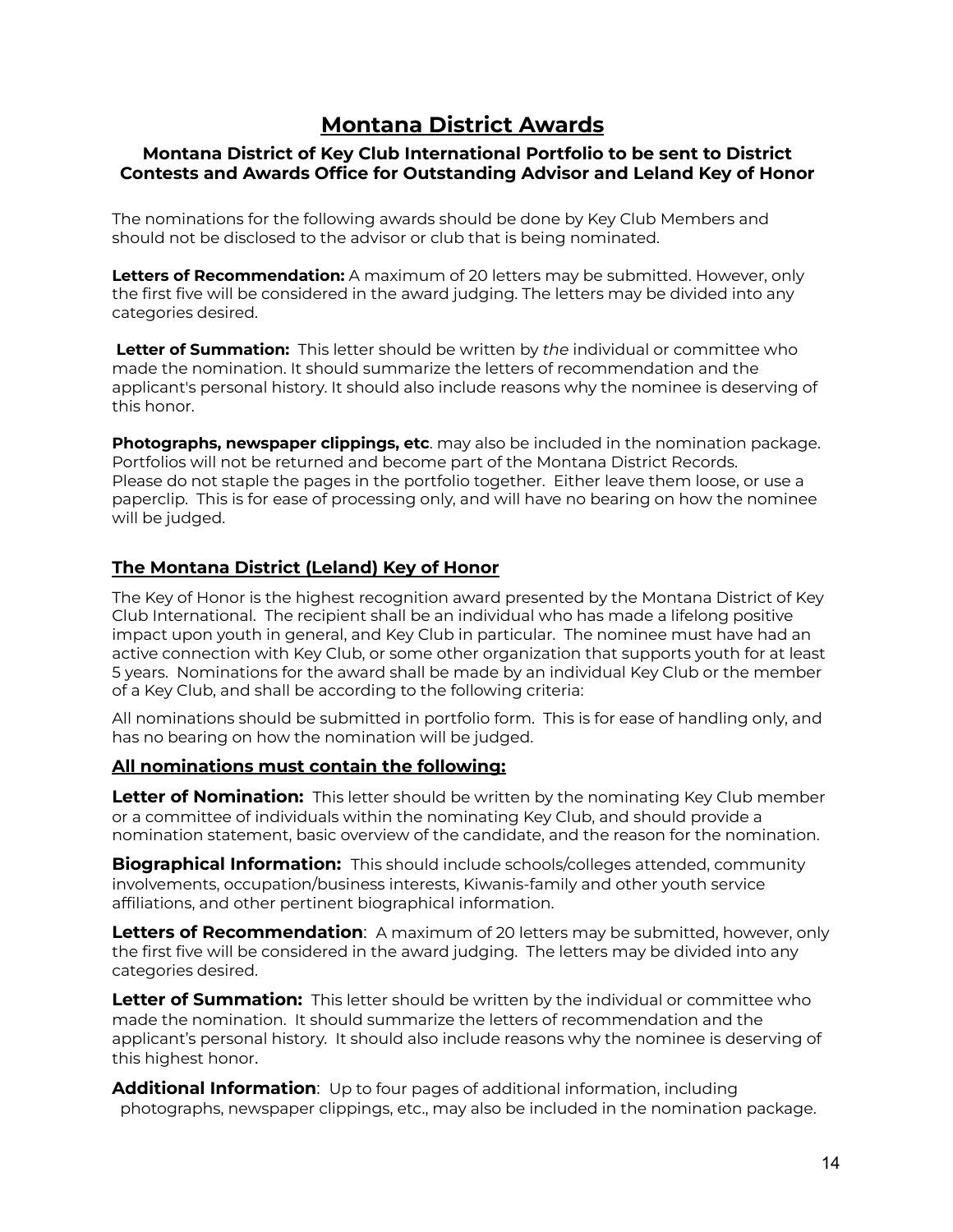### **Montana District Awards**

### **Montana District of Key Club International Portfolio to be sent to District Contests and Awards Office for Outstanding Advisor and Leland Key of Honor**

The nominations for the following awards should be done by Key Club Members and should not be disclosed to the advisor or club that is being nominated.

**Letters of Recommendation:** A maximum of 20 letters may be submitted. However, only the first five will be considered in the award judging. The letters may be divided into any categories desired.

**Letter of Summation:** This letter should be written by *the* individual or committee who made the nomination. It should summarize the letters of recommendation and the applicant's personal history. It should also include reasons why the nominee is deserving of this honor.

**Photographs, newspaper clippings, etc**. may also be included in the nomination package. Portfolios will not be returned and become part of the Montana District Records. Please do not staple the pages in the portfolio together. Either leave them loose, or use a paperclip. This is for ease of processing only, and will have no bearing on how the nominee will be judged.

### **The Montana District (Leland) Key of Honor**

The Key of Honor is the highest recognition award presented by the Montana District of Key Club International. The recipient shall be an individual who has made a lifelong positive impact upon youth in general, and Key Club in particular. The nominee must have had an active connection with Key Club, or some other organization that supports youth for at least 5 years. Nominations for the award shall be made by an individual Key Club or the member of a Key Club, and shall be according to the following criteria:

All nominations should be submitted in portfolio form. This is for ease of handling only, and has no bearing on how the nomination will be judged.

### **All nominations must contain the following:**

**Letter of Nomination:** This letter should be written by the nominating Key Club member or a committee of individuals within the nominating Key Club, and should provide a nomination statement, basic overview of the candidate, and the reason for the nomination.

**Biographical Information:** This should include schools/colleges attended, community involvements, occupation/business interests, Kiwanis-family and other youth service affiliations, and other pertinent biographical information.

**Letters of Recommendation**: A maximum of 20 letters may be submitted, however, only the first five will be considered in the award judging. The letters may be divided into any categories desired.

**Letter of Summation:** This letter should be written by the individual or committee who made the nomination. It should summarize the letters of recommendation and the applicant's personal history. It should also include reasons why the nominee is deserving of this highest honor.

**Additional Information**: Up to four pages of additional information, including photographs, newspaper clippings, etc., may also be included in the nomination package.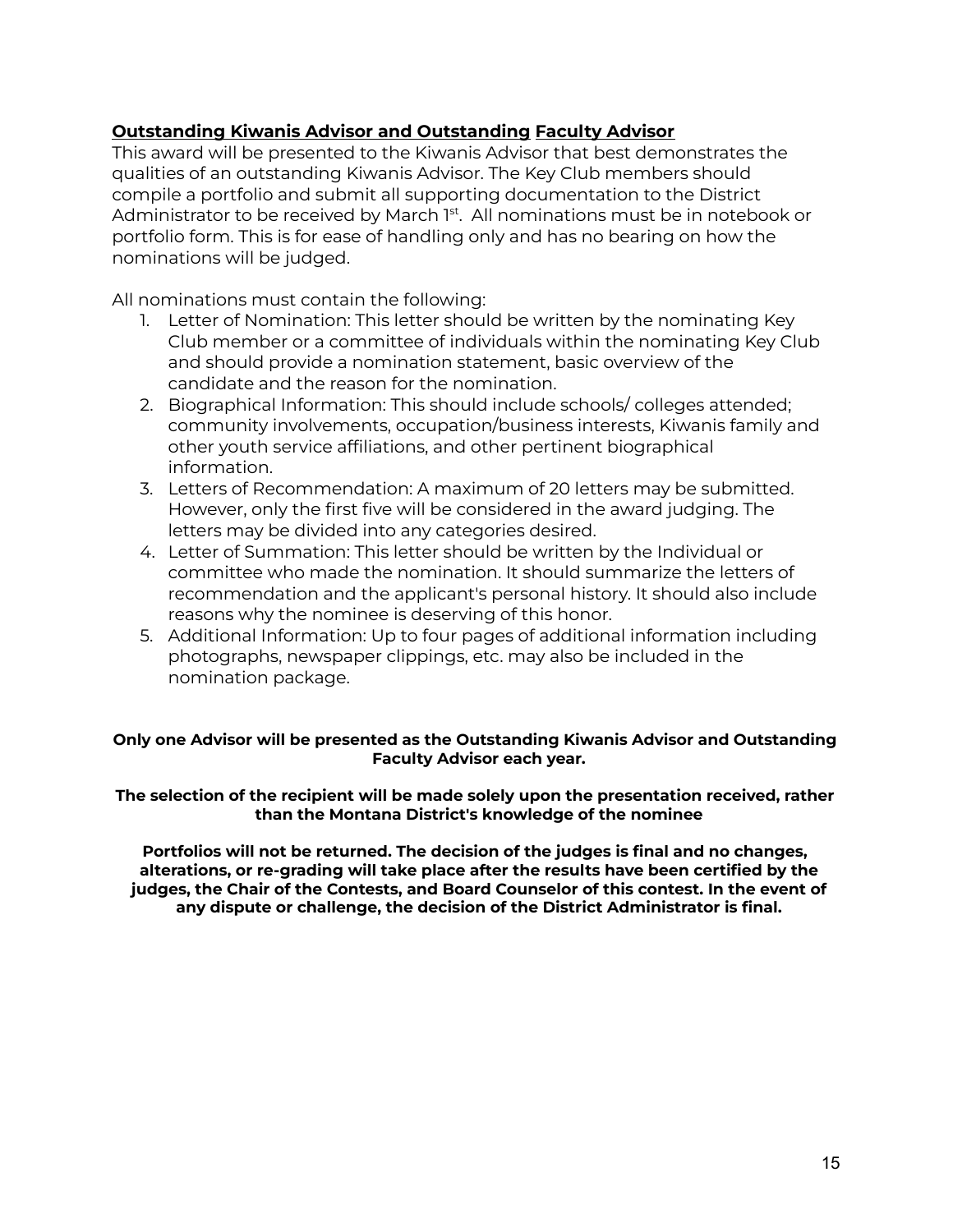### **Outstanding Kiwanis Advisor and Outstanding Faculty Advisor**

This award will be presented to the Kiwanis Advisor that best demonstrates the qualities of an outstanding Kiwanis Advisor. The Key Club members should compile a portfolio and submit all supporting documentation to the District Administrator to be received by March 1st. All nominations must be in notebook or portfolio form. This is for ease of handling only and has no bearing on how the nominations will be judged.

All nominations must contain the following:

- 1. Letter of Nomination: This letter should be written by the nominating Key Club member or a committee of individuals within the nominating Key Club and should provide a nomination statement, basic overview of the candidate and the reason for the nomination.
- 2. Biographical Information: This should include schools/ colleges attended; community involvements, occupation/business interests, Kiwanis family and other youth service affiliations, and other pertinent biographical information.
- 3. Letters of Recommendation: A maximum of 20 letters may be submitted. However, only the first five will be considered in the award judging. The letters may be divided into any categories desired.
- 4. Letter of Summation: This letter should be written by the Individual or committee who made the nomination. It should summarize the letters of recommendation and the applicant's personal history. It should also include reasons why the nominee is deserving of this honor.
- 5. Additional Information: Up to four pages of additional information including photographs, newspaper clippings, etc. may also be included in the nomination package.

### **Only one Advisor will be presented as the Outstanding Kiwanis Advisor and Outstanding Faculty Advisor each year.**

**The selection of the recipient will be made solely upon the presentation received, rather than the Montana District's knowledge of the nominee**

**Portfolios will not be returned. The decision of the judges is final and no changes, alterations, or re-grading will take place after the results have been certified by the judges, the Chair of the Contests, and Board Counselor of this contest. In the event of any dispute or challenge, the decision of the District Administrator is final.**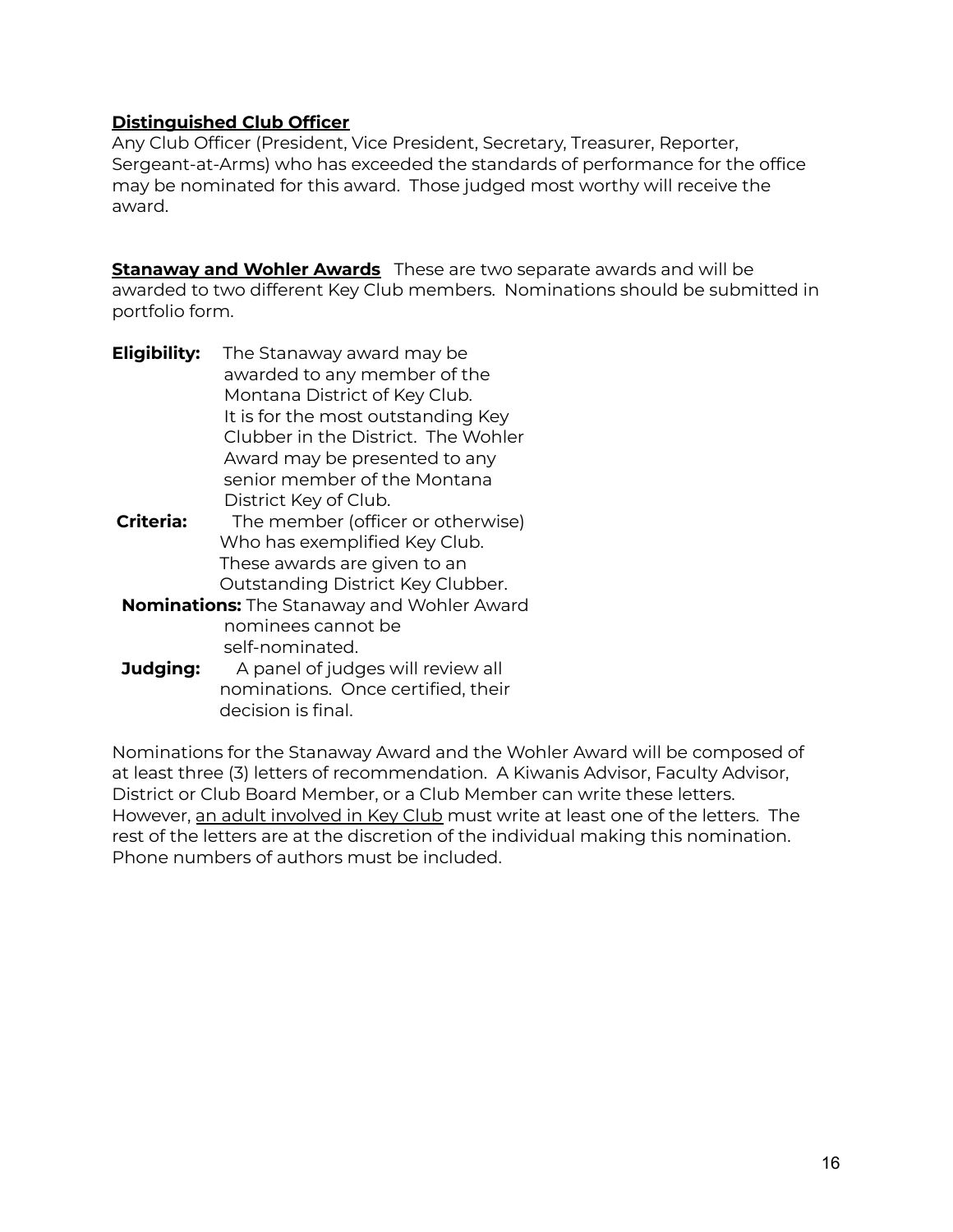### **Distinguished Club Officer**

Any Club Officer (President, Vice President, Secretary, Treasurer, Reporter, Sergeant-at-Arms) who has exceeded the standards of performance for the office may be nominated for this award. Those judged most worthy will receive the award.

**Stanaway and Wohler Awards** These are two separate awards and will be awarded to two different Key Club members. Nominations should be submitted in portfolio form.

- **Eligibility:** The Stanaway award may be awarded to any member of the Montana District of Key Club. It is for the most outstanding Key Clubber in the District. The Wohler Award may be presented to any senior member of the Montana District Key of Club.
- **Criteria:** The member (officer or otherwise) Who has exemplified Key Club. These awards are given to an Outstanding District Key Clubber.
- **Nominations:** The Stanaway and Wohler Award nominees cannot be self-nominated.
- **Judging:** A panel of judges will review all nominations. Once certified, their decision is final.

Nominations for the Stanaway Award and the Wohler Award will be composed of at least three (3) letters of recommendation. A Kiwanis Advisor, Faculty Advisor, District or Club Board Member, or a Club Member can write these letters. However, an adult involved in Key Club must write at least one of the letters. The rest of the letters are at the discretion of the individual making this nomination. Phone numbers of authors must be included.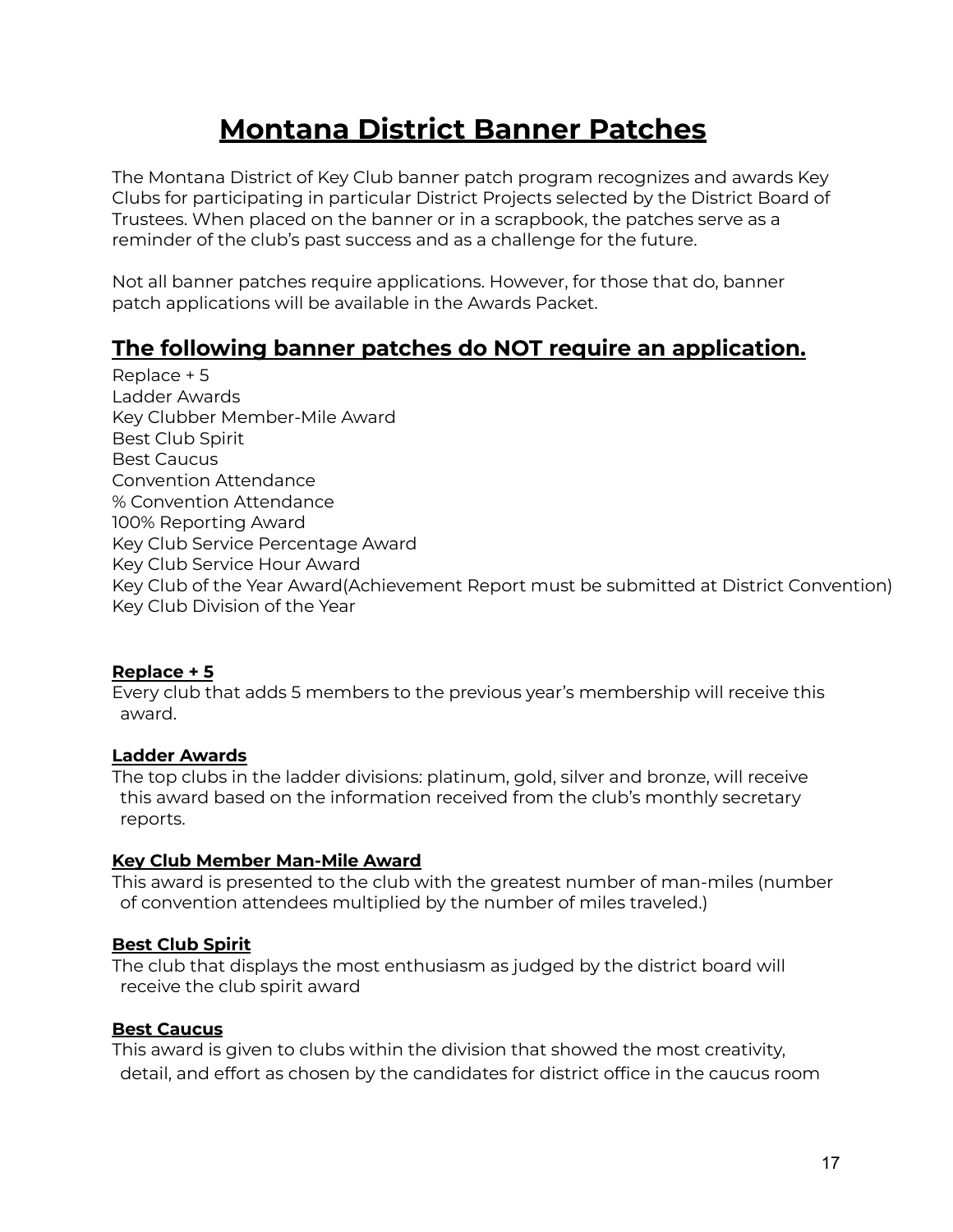## **Montana District Banner Patches**

The Montana District of Key Club banner patch program recognizes and awards Key Clubs for participating in particular District Projects selected by the District Board of Trustees. When placed on the banner or in a scrapbook, the patches serve as a reminder of the club's past success and as a challenge for the future.

Not all banner patches require applications. However, for those that do, banner patch applications will be available in the Awards Packet.

### **The following banner patches do NOT require an application.**

Replace + 5 Ladder Awards Key Clubber Member-Mile Award Best Club Spirit Best Caucus Convention Attendance % Convention Attendance 100% Reporting Award Key Club Service Percentage Award Key Club Service Hour Award Key Club of the Year Award(Achievement Report must be submitted at District Convention) Key Club Division of the Year

### **Replace + 5**

Every club that adds 5 members to the previous year's membership will receive this award.

### **Ladder Awards**

The top clubs in the ladder divisions: platinum, gold, silver and bronze, will receive this award based on the information received from the club's monthly secretary reports.

### **Key Club Member Man-Mile Award**

This award is presented to the club with the greatest number of man-miles (number of convention attendees multiplied by the number of miles traveled.)

### **Best Club Spirit**

The club that displays the most enthusiasm as judged by the district board will receive the club spirit award

### **Best Caucus**

This award is given to clubs within the division that showed the most creativity, detail, and effort as chosen by the candidates for district office in the caucus room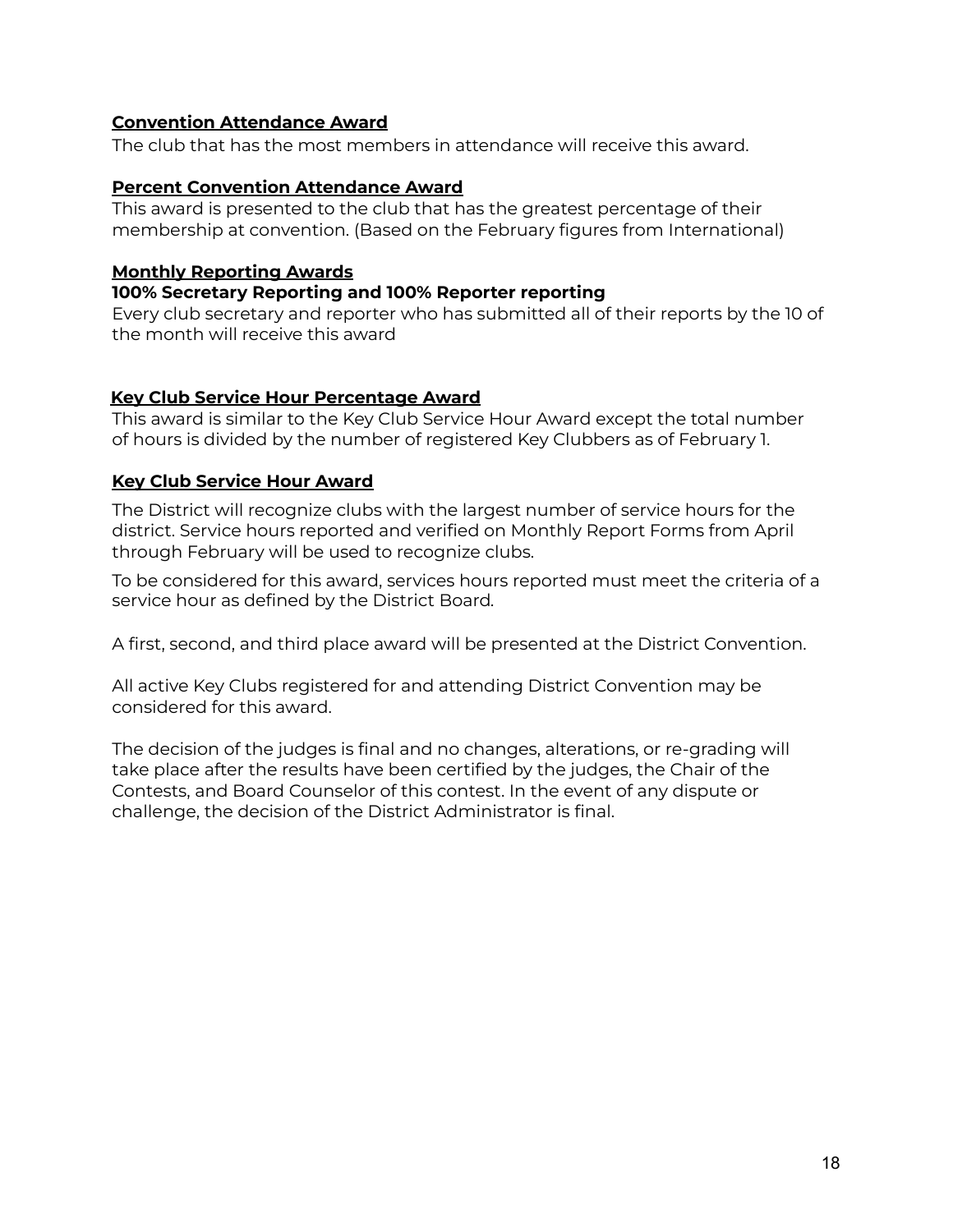### **Convention Attendance Award**

The club that has the most members in attendance will receive this award.

### **Percent Convention Attendance Award**

This award is presented to the club that has the greatest percentage of their membership at convention. (Based on the February figures from International)

### **Monthly Reporting Awards**

### **100% Secretary Reporting and 100% Reporter reporting**

Every club secretary and reporter who has submitted all of their reports by the 10 of the month will receive this award

### **Key Club Service Hour Percentage Award**

This award is similar to the Key Club Service Hour Award except the total number of hours is divided by the number of registered Key Clubbers as of February 1.

### **Key Club Service Hour Award**

The District will recognize clubs with the largest number of service hours for the district. Service hours reported and verified on Monthly Report Forms from April through February will be used to recognize clubs.

To be considered for this award, services hours reported must meet the criteria of a service hour as defined by the District Board*.*

A first, second, and third place award will be presented at the District Convention.

All active Key Clubs registered for and attending District Convention may be considered for this award.

The decision of the judges is final and no changes, alterations, or re-grading will take place after the results have been certified by the judges, the Chair of the Contests, and Board Counselor of this contest. In the event of any dispute or challenge, the decision of the District Administrator is final.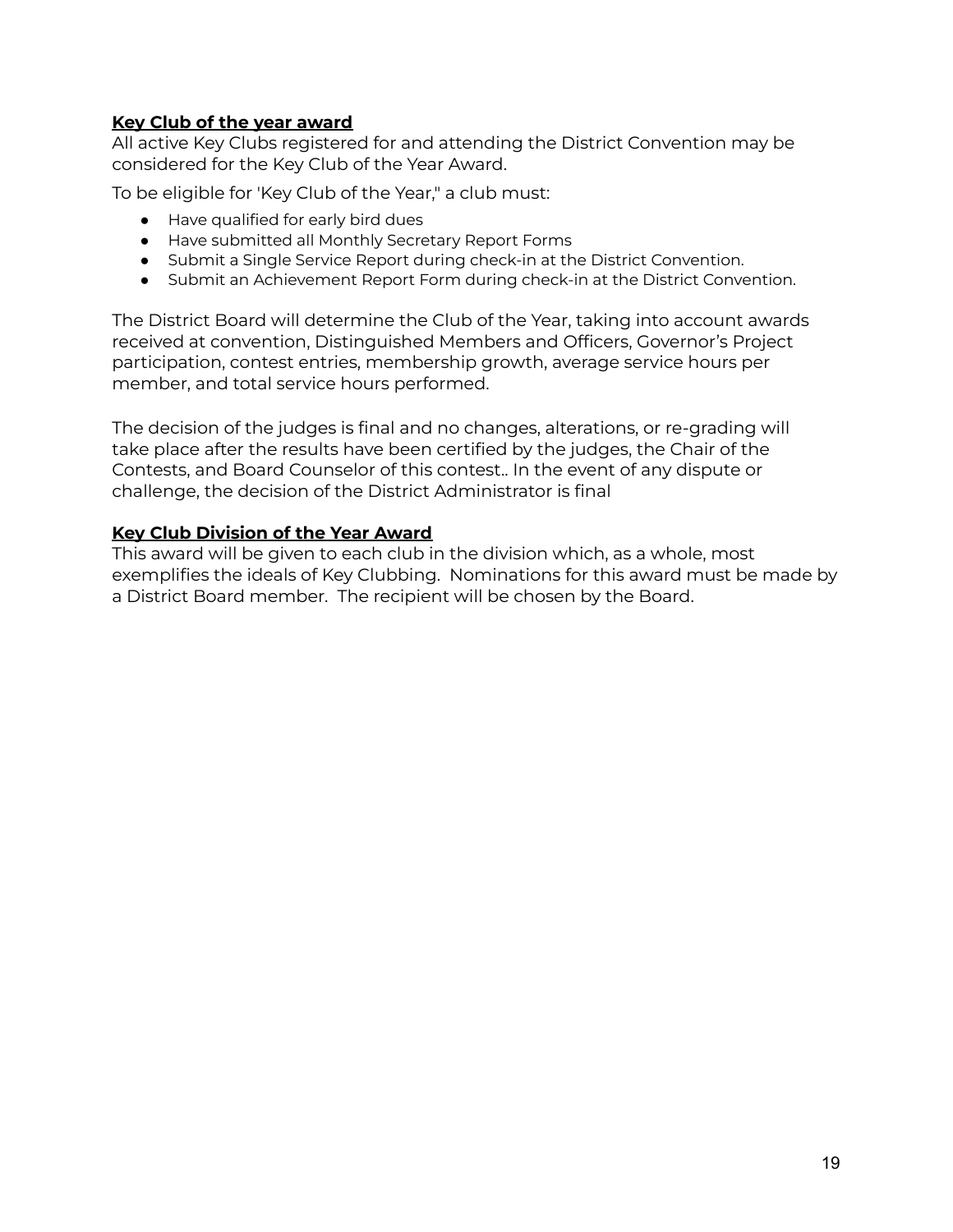### **Key Club of the year award**

All active Key Clubs registered for and attending the District Convention may be considered for the Key Club of the Year Award.

To be eligible for 'Key Club of the Year," a club must:

- Have qualified for early bird dues
- Have submitted all Monthly Secretary Report Forms
- Submit a Single Service Report during check-in at the District Convention.
- Submit an Achievement Report Form during check-in at the District Convention.

The District Board will determine the Club of the Year, taking into account awards received at convention, Distinguished Members and Officers, Governor's Project participation, contest entries, membership growth, average service hours per member, and total service hours performed.

The decision of the judges is final and no changes, alterations, or re-grading will take place after the results have been certified by the judges, the Chair of the Contests, and Board Counselor of this contest.. In the event of any dispute or challenge, the decision of the District Administrator is final

### **Key Club Division of the Year Award**

This award will be given to each club in the division which, as a whole, most exemplifies the ideals of Key Clubbing. Nominations for this award must be made by a District Board member. The recipient will be chosen by the Board.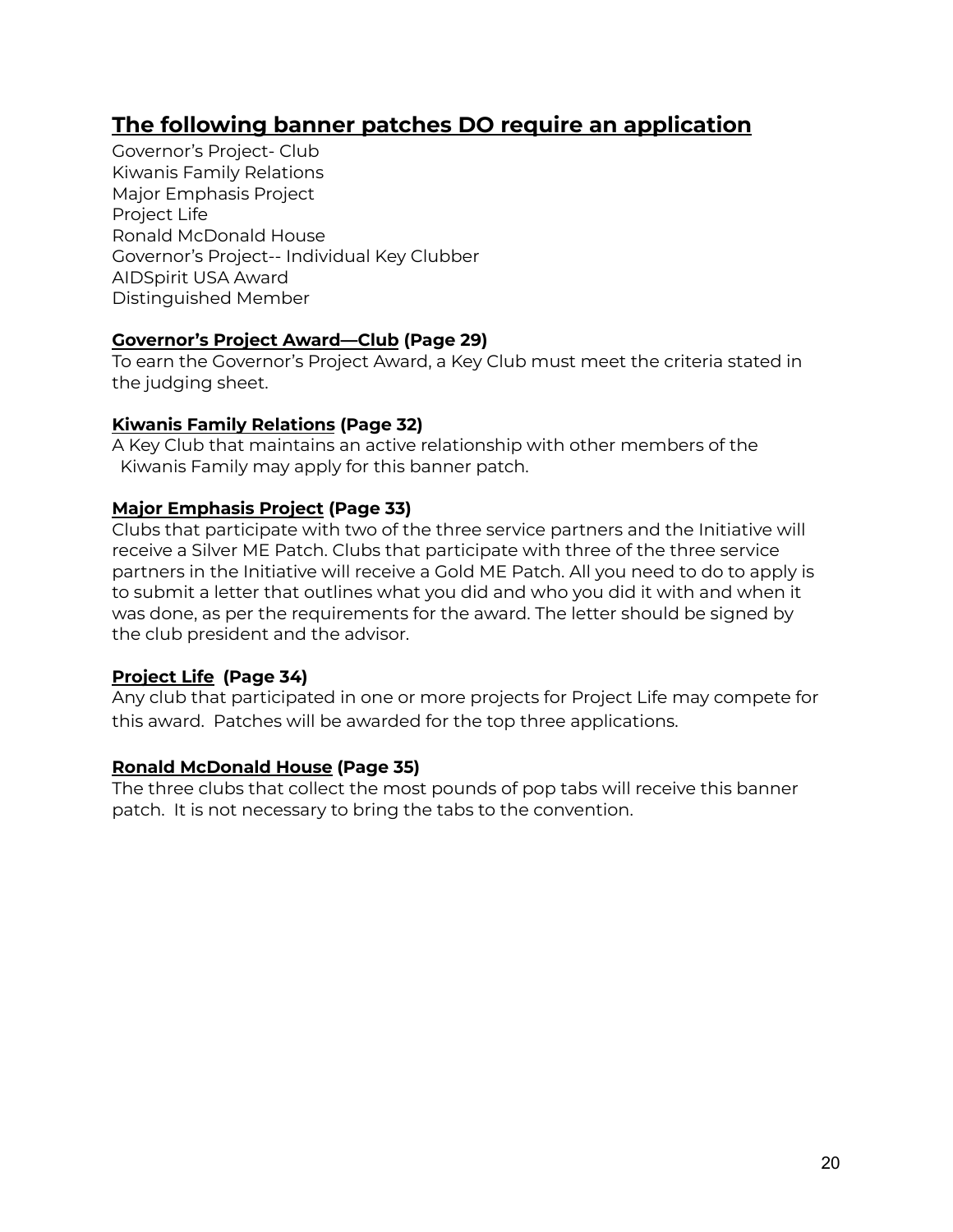### **The following banner patches DO require an application**

Governor's Project- Club Kiwanis Family Relations Major Emphasis Project Project Life Ronald McDonald House Governor's Project-- Individual Key Clubber AIDSpirit USA Award Distinguished Member

### **Governor's Project Award—Club (Page 29)**

To earn the Governor's Project Award, a Key Club must meet the criteria stated in the judging sheet.

### **Kiwanis Family Relations (Page 32)**

A Key Club that maintains an active relationship with other members of the Kiwanis Family may apply for this banner patch.

### **Major Emphasis Project (Page 33)**

Clubs that participate with two of the three service partners and the Initiative will receive a Silver ME Patch. Clubs that participate with three of the three service partners in the Initiative will receive a Gold ME Patch. All you need to do to apply is to submit a letter that outlines what you did and who you did it with and when it was done, as per the requirements for the award. The letter should be signed by the club president and the advisor.

### **Project Life (Page 34)**

Any club that participated in one or more projects for Project Life may compete for this award. Patches will be awarded for the top three applications.

### **Ronald McDonald House (Page 35)**

The three clubs that collect the most pounds of pop tabs will receive this banner patch. It is not necessary to bring the tabs to the convention.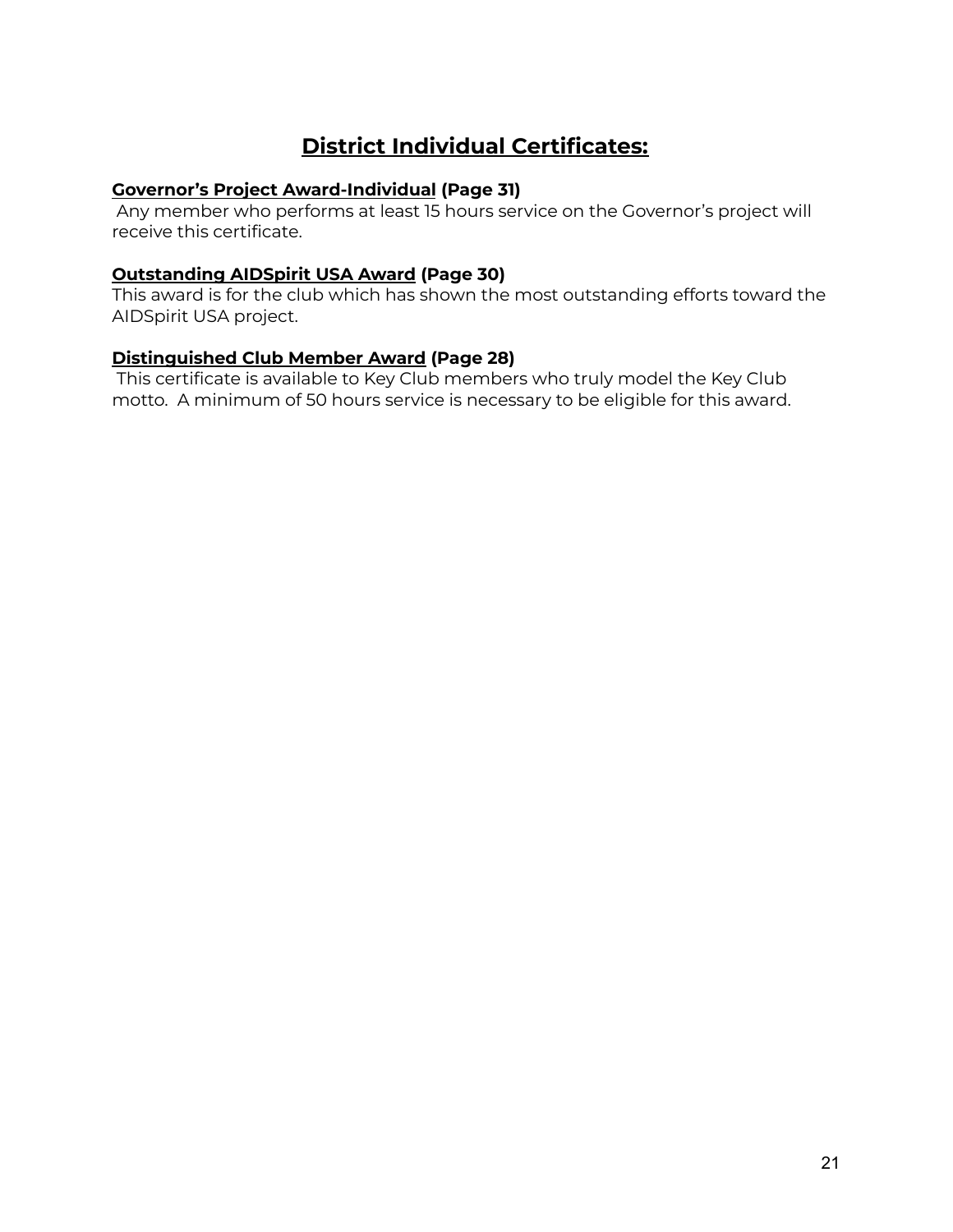### **District Individual Certificates:**

### **Governor's Project Award-Individual (Page 31)**

Any member who performs at least 15 hours service on the Governor's project will receive this certificate.

### **Outstanding AIDSpirit USA Award (Page 30)**

This award is for the club which has shown the most outstanding efforts toward the AIDSpirit USA project.

### **Distinguished Club Member Award (Page 28)**

This certificate is available to Key Club members who truly model the Key Club motto. A minimum of 50 hours service is necessary to be eligible for this award.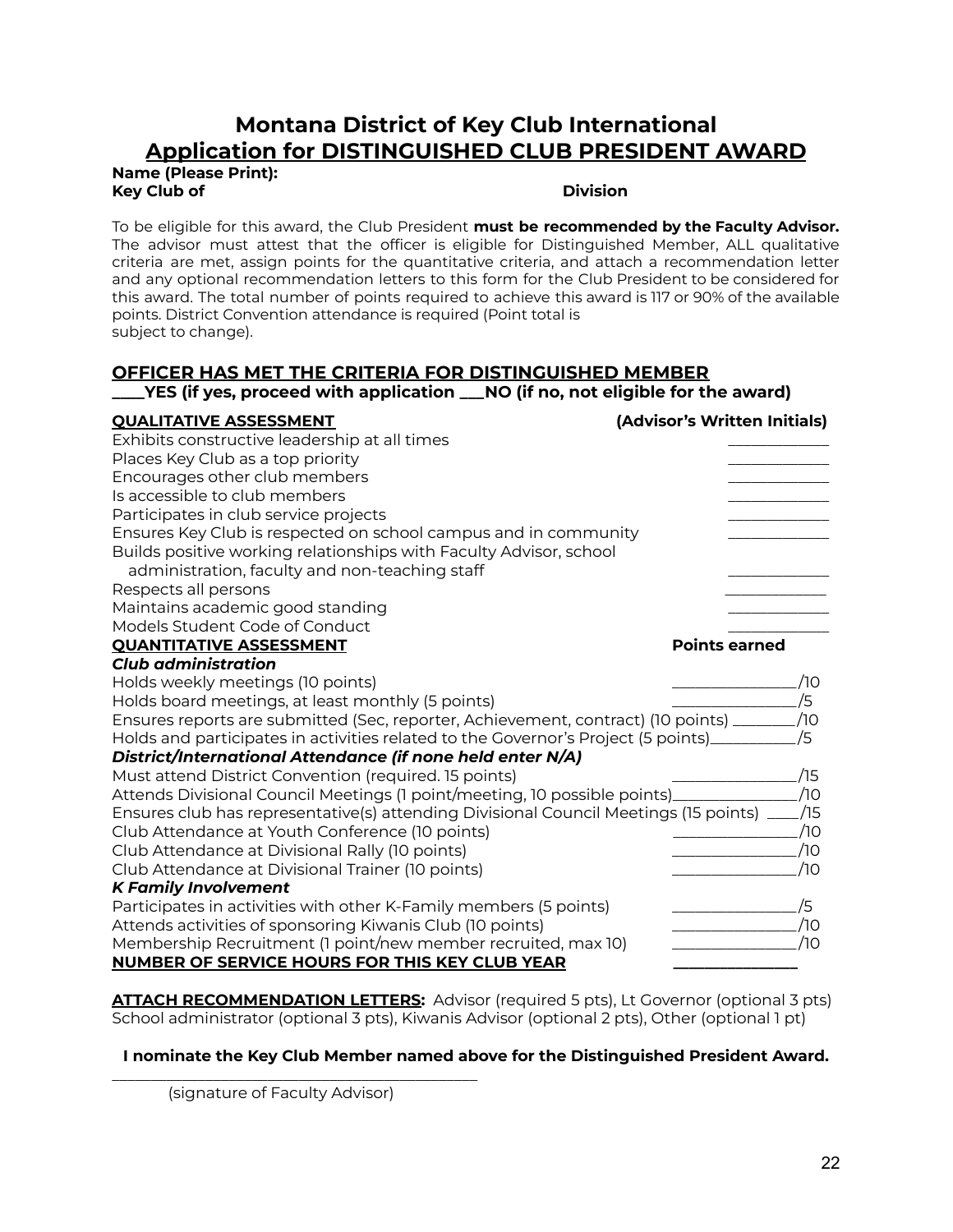### **Montana District of Key Club International Application for DISTINGUISHED CLUB PRESIDENT AWARD**

**Name (Please Print): Key Club of Division**

To be eligible for this award, the Club President **must be recommended by the Faculty Advisor.** The advisor must attest that the officer is eligible for Distinguished Member, ALL qualitative criteria are met, assign points for the quantitative criteria, and attach a recommendation letter and any optional recommendation letters to this form for the Club President to be considered for this award. The total number of points required to achieve this award is 117 or 90% of the available points. District Convention attendance is required (Point total is subject to change).

### **OFFICER HAS MET THE CRITERIA FOR DISTINGUISHED MEMBER**

### **\_\_\_\_YES (if yes, proceed with application \_\_\_NO (if no, not eligible for the award)**

| <b>QUALITATIVE ASSESSMENT</b>                                                        | (Advisor's Written Initials) |     |
|--------------------------------------------------------------------------------------|------------------------------|-----|
| Exhibits constructive leadership at all times                                        |                              |     |
| Places Key Club as a top priority                                                    |                              |     |
| Encourages other club members                                                        |                              |     |
| Is accessible to club members                                                        |                              |     |
| Participates in club service projects                                                |                              |     |
| Ensures Key Club is respected on school campus and in community                      |                              |     |
| Builds positive working relationships with Faculty Advisor, school                   |                              |     |
| administration, faculty and non-teaching staff                                       |                              |     |
| Respects all persons                                                                 |                              |     |
| Maintains academic good standing                                                     |                              |     |
| Models Student Code of Conduct                                                       |                              |     |
| <b>QUANTITATIVE ASSESSMENT</b>                                                       | <b>Points earned</b>         |     |
| <b>Club administration</b>                                                           |                              |     |
| Holds weekly meetings (10 points)                                                    |                              | 10  |
| Holds board meetings, at least monthly (5 points)                                    |                              | Ι5  |
| Ensures reports are submitted (Sec, reporter, Achievement, contract) (10 points) _   |                              | /10 |
| Holds and participates in activities related to the Governor's Project (5 points)    |                              | /5  |
| District/International Attendance (if none held enter N/A)                           |                              |     |
| Must attend District Convention (required. 15 points)                                |                              | /15 |
| Attends Divisional Council Meetings (1 point/meeting, 10 possible points)_           |                              | /10 |
| Ensures club has representative(s) attending Divisional Council Meetings (15 points) |                              | /15 |
| Club Attendance at Youth Conference (10 points)                                      |                              | /10 |
| Club Attendance at Divisional Rally (10 points)                                      |                              | ⁄1Ο |
| Club Attendance at Divisional Trainer (10 points)                                    |                              | /10 |
| <b>K Family Involvement</b>                                                          |                              |     |
| Participates in activities with other K-Family members (5 points)                    |                              | /5  |
| Attends activities of sponsoring Kiwanis Club (10 points)                            |                              | /10 |
| Membership Recruitment (1 point/new member recruited, max 10)                        |                              | Ί0  |
| <b>NUMBER OF SERVICE HOURS FOR THIS KEY CLUB YEAR</b>                                |                              |     |

**ATTACH RECOMMENDATION LETTERS:** Advisor (required 5 pts), Lt Governor (optional 3 pts) School administrator (optional 3 pts), Kiwanis Advisor (optional 2 pts), Other (optional 1 pt)

### **I nominate the Key Club Member named above for the Distinguished President Award.**

(signature of Faculty Advisor)

\_\_\_\_\_\_\_\_\_\_\_\_\_\_\_\_\_\_\_\_\_\_\_\_\_\_\_\_\_\_\_\_\_\_\_\_\_\_\_\_\_\_\_\_\_\_\_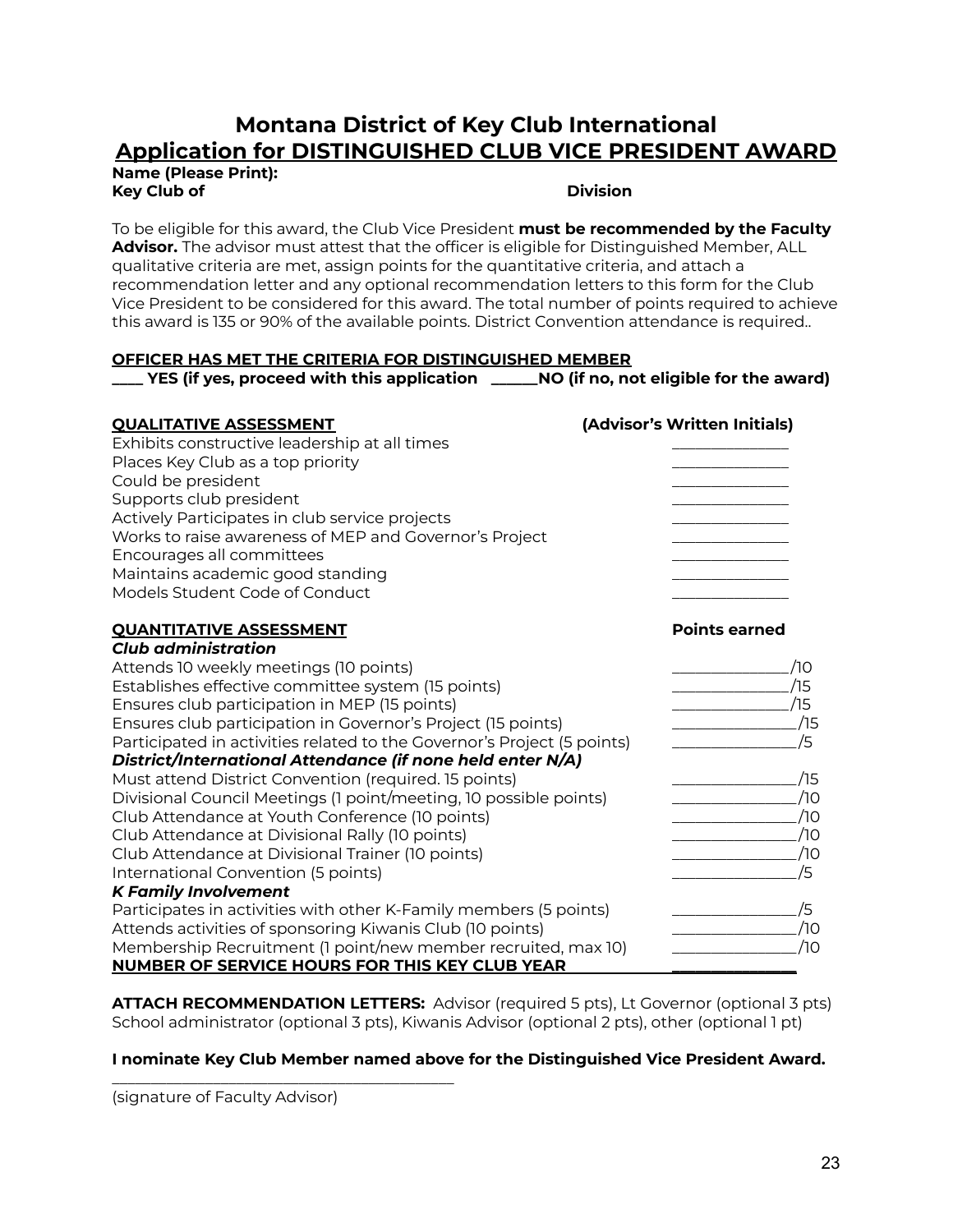### **Montana District of Key Club International Application for DISTINGUISHED CLUB VICE PRESIDENT AWARD**

**Name (Please Print): Key Club of Division**

To be eligible for this award, the Club Vice President **must be recommended by the Faculty Advisor.** The advisor must attest that the officer is eligible for Distinguished Member, ALL qualitative criteria are met, assign points for the quantitative criteria, and attach a recommendation letter and any optional recommendation letters to this form for the Club Vice President to be considered for this award. The total number of points required to achieve this award is 135 or 90% of the available points. District Convention attendance is required..

### **OFFICER HAS MET THE CRITERIA FOR DISTINGUISHED MEMBER**

**\_\_\_\_ YES (if yes, proceed with this application \_\_\_\_\_\_NO (if no, not eligible for the award)**

| <b>QUALITATIVE ASSESSMENT</b>                                           | (Advisor's Written Initials) |
|-------------------------------------------------------------------------|------------------------------|
| Exhibits constructive leadership at all times                           |                              |
| Places Key Club as a top priority                                       |                              |
| Could be president                                                      |                              |
| Supports club president                                                 |                              |
| Actively Participates in club service projects                          |                              |
| Works to raise awareness of MEP and Governor's Project                  |                              |
| Encourages all committees                                               |                              |
| Maintains academic good standing                                        |                              |
| Models Student Code of Conduct                                          |                              |
| <b>OUANTITATIVE ASSESSMENT</b>                                          | <b>Points earned</b>         |
| <b>Club administration</b>                                              |                              |
| Attends 10 weekly meetings (10 points)                                  | 70                           |
| Establishes effective committee system (15 points)                      | 15                           |
| Ensures club participation in MEP (15 points)                           | 75                           |
| Ensures club participation in Governor's Project (15 points)            | /15                          |
| Participated in activities related to the Governor's Project (5 points) | /5                           |
| District/International Attendance (if none held enter N/A)              |                              |
| Must attend District Convention (required. 15 points)                   | /15                          |
| Divisional Council Meetings (1 point/meeting, 10 possible points)       | ⁄10                          |
| Club Attendance at Youth Conference (10 points)                         | /10                          |
| Club Attendance at Divisional Rally (10 points)                         | /10                          |
| Club Attendance at Divisional Trainer (10 points)                       | /10                          |
| International Convention (5 points)                                     | /5                           |
| <b>K Family Involvement</b>                                             |                              |
| Participates in activities with other K-Family members (5 points)       | /5                           |
| Attends activities of sponsoring Kiwanis Club (10 points)               | /10                          |
| Membership Recruitment (1 point/new member recruited, max 10)           | /10                          |
| <b>NUMBER OF SERVICE HOURS FOR THIS KEY CLUB YEAR</b>                   |                              |

**ATTACH RECOMMENDATION LETTERS:** Advisor (required 5 pts), Lt Governor (optional 3 pts) School administrator (optional 3 pts), Kiwanis Advisor (optional 2 pts), other (optional 1 pt)

### **I nominate Key Club Member named above for the Distinguished Vice President Award.**

(signature of Faculty Advisor)

\_\_\_\_\_\_\_\_\_\_\_\_\_\_\_\_\_\_\_\_\_\_\_\_\_\_\_\_\_\_\_\_\_\_\_\_\_\_\_\_\_\_\_\_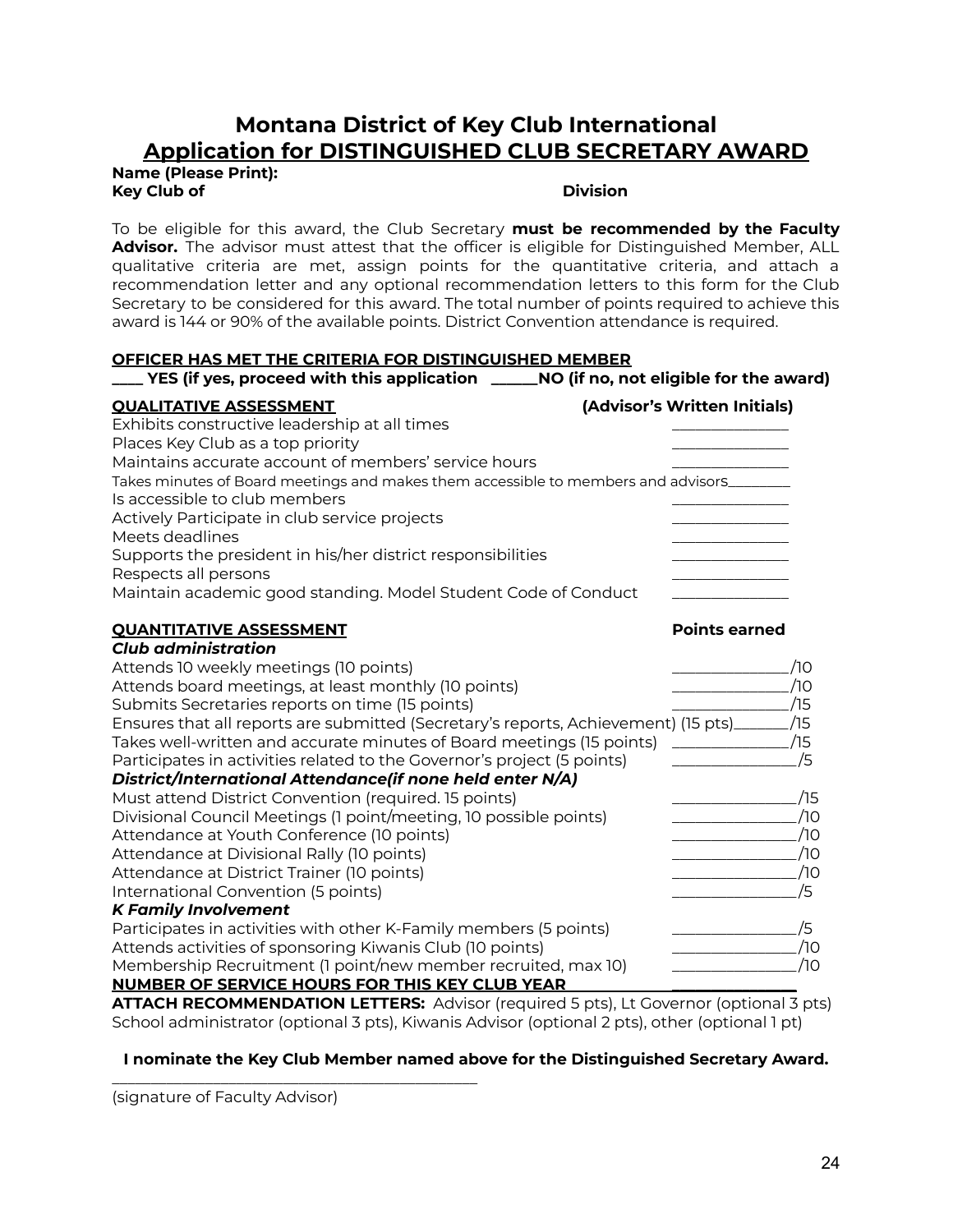### **Montana District of Key Club International Application for DISTINGUISHED CLUB SECRETARY AWARD**

**Name (Please Print): Key Club of Division**

To be eligible for this award, the Club Secretary **must be recommended by the Faculty Advisor.** The advisor must attest that the officer is eligible for Distinguished Member, ALL qualitative criteria are met, assign points for the quantitative criteria, and attach a recommendation letter and any optional recommendation letters to this form for the Club Secretary to be considered for this award. The total number of points required to achieve this award is 144 or 90% of the available points. District Convention attendance is required.

### **OFFICER HAS MET THE CRITERIA FOR DISTINGUISHED MEMBER**

| $\_$ YES (if yes, proceed with this application $\hspace{0.1cm}$ $\_$                | NO (if no, not eligible for the award) |
|--------------------------------------------------------------------------------------|----------------------------------------|
| <b>QUALITATIVE ASSESSMENT</b>                                                        | (Advisor's Written Initials)           |
| Exhibits constructive leadership at all times                                        |                                        |
| Places Key Club as a top priority                                                    |                                        |
| Maintains accurate account of members' service hours                                 |                                        |
| Takes minutes of Board meetings and makes them accessible to members and advisors    |                                        |
| Is accessible to club members                                                        |                                        |
| Actively Participate in club service projects                                        |                                        |
| Meets deadlines                                                                      |                                        |
| Supports the president in his/her district responsibilities                          |                                        |
| Respects all persons                                                                 |                                        |
| Maintain academic good standing. Model Student Code of Conduct                       |                                        |
| <b>QUANTITATIVE ASSESSMENT</b>                                                       | <b>Points earned</b>                   |
| <b>Club administration</b>                                                           |                                        |
| Attends 10 weekly meetings (10 points)                                               | /10                                    |
| Attends board meetings, at least monthly (10 points)                                 | /10                                    |
| Submits Secretaries reports on time (15 points)                                      | /15                                    |
| Ensures that all reports are submitted (Secretary's reports, Achievement) (15 pts)__ | /15                                    |
| Takes well-written and accurate minutes of Board meetings (15 points)                | /15                                    |
| Participates in activities related to the Governor's project (5 points)              | /5                                     |
| District/International Attendance(if none held enter N/A)                            |                                        |
| Must attend District Convention (required. 15 points)                                | /15                                    |
| Divisional Council Meetings (1 point/meeting, 10 possible points)                    | /10                                    |
| Attendance at Youth Conference (10 points)                                           | /10                                    |
| Attendance at Divisional Rally (10 points)                                           | /10                                    |
| Attendance at District Trainer (10 points)                                           | /10                                    |
| International Convention (5 points)                                                  | /5                                     |
| <b>K Family Involvement</b>                                                          |                                        |
| Participates in activities with other K-Family members (5 points)                    | /5                                     |
| Attends activities of sponsoring Kiwanis Club (10 points)                            | /10                                    |
| Membership Recruitment (1 point/new member recruited, max 10)                        | /10                                    |
| <b>NUMBER OF SERVICE HOURS FOR THIS KEY CLUB YEAR</b>                                |                                        |

**ATTACH RECOMMENDATION LETTERS:** Advisor (required 5 pts), Lt Governor (optional 3 pts) School administrator (optional 3 pts), Kiwanis Advisor (optional 2 pts), other (optional 1 pt)

### **I nominate the Key Club Member named above for the Distinguished Secretary Award.**

(signature of Faculty Advisor)

\_\_\_\_\_\_\_\_\_\_\_\_\_\_\_\_\_\_\_\_\_\_\_\_\_\_\_\_\_\_\_\_\_\_\_\_\_\_\_\_\_\_\_\_\_\_\_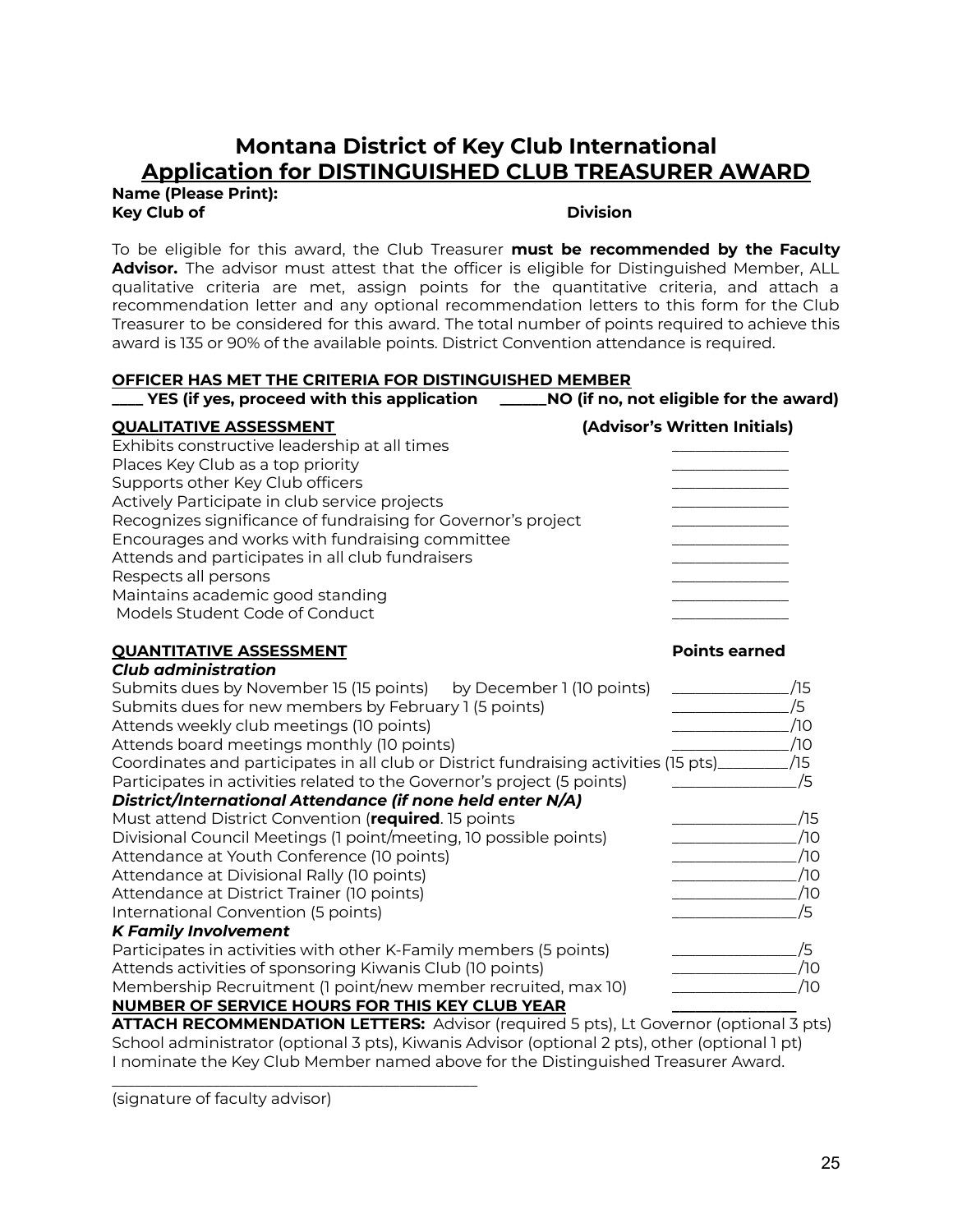### **Montana District of Key Club International Application for DISTINGUISHED CLUB TREASURER AWARD**

**Name (Please Print): Key Club of Division**

To be eligible for this award, the Club Treasurer **must be recommended by the Faculty Advisor.** The advisor must attest that the officer is eligible for Distinguished Member, ALL qualitative criteria are met, assign points for the quantitative criteria, and attach a recommendation letter and any optional recommendation letters to this form for the Club Treasurer to be considered for this award. The total number of points required to achieve this award is 135 or 90% of the available points. District Convention attendance is required.

### **OFFICER HAS MET THE CRITERIA FOR DISTINGUISHED MEMBER**

| YES (if yes, proceed with this application                                           | NO (if no, not eligible for the award) |
|--------------------------------------------------------------------------------------|----------------------------------------|
| <b>QUALITATIVE ASSESSMENT</b>                                                        | (Advisor's Written Initials)           |
| Exhibits constructive leadership at all times                                        |                                        |
| Places Key Club as a top priority                                                    |                                        |
| Supports other Key Club officers                                                     |                                        |
| Actively Participate in club service projects                                        |                                        |
| Recognizes significance of fundraising for Governor's project                        |                                        |
| Encourages and works with fundraising committee                                      |                                        |
| Attends and participates in all club fundraisers                                     |                                        |
| Respects all persons                                                                 |                                        |
| Maintains academic good standing                                                     |                                        |
| Models Student Code of Conduct                                                       |                                        |
| <b>QUANTITATIVE ASSESSMENT</b>                                                       | <b>Points earned</b>                   |
| <b>Club administration</b>                                                           |                                        |
| Submits dues by November 15 (15 points) by December 1 (10 points)                    | /15                                    |
| Submits dues for new members by February 1 (5 points)                                | /5                                     |
| Attends weekly club meetings (10 points)                                             | ⁄10                                    |
| Attends board meetings monthly (10 points)                                           | /10                                    |
| Coordinates and participates in all club or District fundraising activities (15 pts) | /15                                    |
| Participates in activities related to the Governor's project (5 points)              | /5                                     |
| District/International Attendance (if none held enter N/A)                           |                                        |
| Must attend District Convention (required. 15 points                                 | ⁄15                                    |
| Divisional Council Meetings (1 point/meeting, 10 possible points)                    | ⁄1Ο                                    |

Attendance at Youth Conference (10 points) \_\_\_\_\_\_\_\_\_\_\_\_\_\_\_\_ /10 Attendance at Divisional Rally (10 points) example to the control of the control of the control of the control o Attendance at District Trainer (10 points) \_\_\_\_\_\_\_\_\_\_\_\_\_\_\_\_ /10 International Convention (5 points) \_\_\_\_\_\_\_\_\_\_\_\_\_\_\_\_ /5

Participates in activities with other K-Family members (5 points) \_\_\_\_\_\_\_\_\_\_\_\_\_\_\_\_\_\_\_\_\_\_\_\_/5 Attends activities of sponsoring Kiwanis Club (10 points) \_\_\_\_\_\_\_\_\_\_\_\_\_\_\_\_ /10 Membership Recruitment (1 point/new member recruited, max 10) \_\_\_\_\_\_\_\_\_\_\_\_\_\_\_\_ /10

**ATTACH RECOMMENDATION LETTERS:** Advisor (required 5 pts), Lt Governor (optional 3 pts) School administrator (optional 3 pts), Kiwanis Advisor (optional 2 pts), other (optional 1 pt) I nominate the Key Club Member named above for the Distinguished Treasurer Award.

**NUMBER OF SERVICE HOURS FOR THIS KEY CLUB YEAR \_\_\_\_\_\_\_\_\_\_\_\_\_\_\_\_**

\_\_\_\_\_\_\_\_\_\_\_\_\_\_\_\_\_\_\_\_\_\_\_\_\_\_\_\_\_\_\_\_\_\_\_\_\_\_\_\_\_\_\_\_\_\_\_

(signature of faculty advisor)

*K Family Involvement*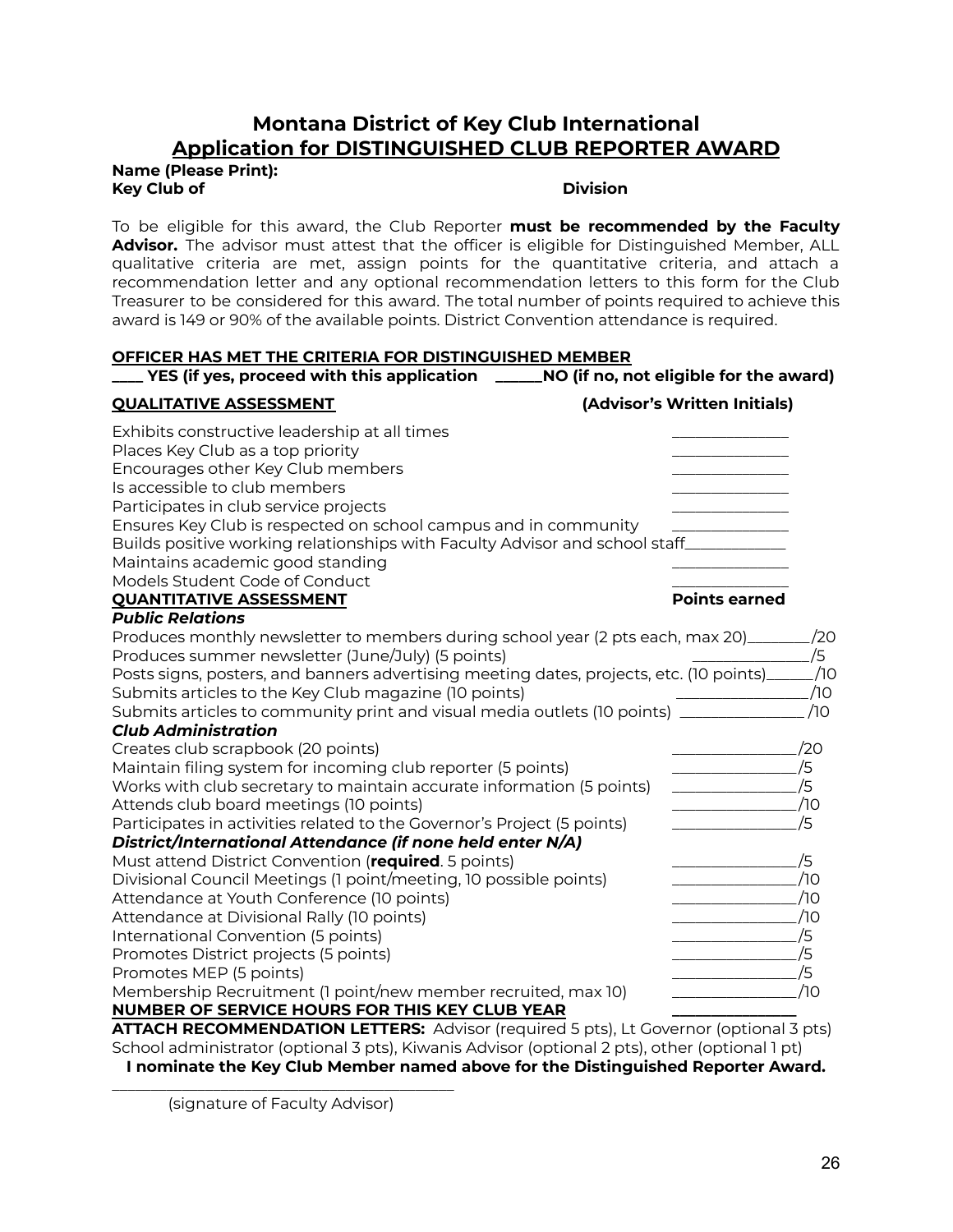### **Montana District of Key Club International Application for DISTINGUISHED CLUB REPORTER AWARD**

**Name (Please Print): Key Club of Division**

To be eligible for this award, the Club Reporter **must be recommended by the Faculty Advisor.** The advisor must attest that the officer is eligible for Distinguished Member, ALL qualitative criteria are met, assign points for the quantitative criteria, and attach a recommendation letter and any optional recommendation letters to this form for the Club Treasurer to be considered for this award. The total number of points required to achieve this award is 149 or 90% of the available points. District Convention attendance is required.

### **OFFICER HAS MET THE CRITERIA FOR DISTINGUISHED MEMBER**

| $\mathcal{L}$ YES (if yes, proceed with this application $\mathcal{L}$                         | NO (if no, not eligible for the award)                                                                                                                                                                                                                                                                                                                                                                                                                                                                                                                                                                 |
|------------------------------------------------------------------------------------------------|--------------------------------------------------------------------------------------------------------------------------------------------------------------------------------------------------------------------------------------------------------------------------------------------------------------------------------------------------------------------------------------------------------------------------------------------------------------------------------------------------------------------------------------------------------------------------------------------------------|
| <b>QUALITATIVE ASSESSMENT</b>                                                                  | (Advisor's Written Initials)                                                                                                                                                                                                                                                                                                                                                                                                                                                                                                                                                                           |
| Exhibits constructive leadership at all times                                                  |                                                                                                                                                                                                                                                                                                                                                                                                                                                                                                                                                                                                        |
| Places Key Club as a top priority                                                              |                                                                                                                                                                                                                                                                                                                                                                                                                                                                                                                                                                                                        |
| Encourages other Key Club members                                                              |                                                                                                                                                                                                                                                                                                                                                                                                                                                                                                                                                                                                        |
| Is accessible to club members                                                                  |                                                                                                                                                                                                                                                                                                                                                                                                                                                                                                                                                                                                        |
| Participates in club service projects                                                          |                                                                                                                                                                                                                                                                                                                                                                                                                                                                                                                                                                                                        |
| Ensures Key Club is respected on school campus and in community                                |                                                                                                                                                                                                                                                                                                                                                                                                                                                                                                                                                                                                        |
| Builds positive working relationships with Faculty Advisor and school staff___________         |                                                                                                                                                                                                                                                                                                                                                                                                                                                                                                                                                                                                        |
| Maintains academic good standing                                                               |                                                                                                                                                                                                                                                                                                                                                                                                                                                                                                                                                                                                        |
| Models Student Code of Conduct                                                                 |                                                                                                                                                                                                                                                                                                                                                                                                                                                                                                                                                                                                        |
| <b>QUANTITATIVE ASSESSMENT</b>                                                                 | <b>Points earned</b>                                                                                                                                                                                                                                                                                                                                                                                                                                                                                                                                                                                   |
| <b>Public Relations</b>                                                                        |                                                                                                                                                                                                                                                                                                                                                                                                                                                                                                                                                                                                        |
| Produces monthly newsletter to members during school year (2 pts each, max 20)_____            | /20                                                                                                                                                                                                                                                                                                                                                                                                                                                                                                                                                                                                    |
| Produces summer newsletter (June/July) (5 points)                                              | /5                                                                                                                                                                                                                                                                                                                                                                                                                                                                                                                                                                                                     |
| Posts signs, posters, and banners advertising meeting dates, projects, etc. (10 points)_____   | _/10                                                                                                                                                                                                                                                                                                                                                                                                                                                                                                                                                                                                   |
| Submits articles to the Key Club magazine (10 points)                                          | /10                                                                                                                                                                                                                                                                                                                                                                                                                                                                                                                                                                                                    |
| Submits articles to community print and visual media outlets (10 points) ________              | /10                                                                                                                                                                                                                                                                                                                                                                                                                                                                                                                                                                                                    |
| <b>Club Administration</b>                                                                     |                                                                                                                                                                                                                                                                                                                                                                                                                                                                                                                                                                                                        |
| Creates club scrapbook (20 points)                                                             | /20                                                                                                                                                                                                                                                                                                                                                                                                                                                                                                                                                                                                    |
| Maintain filing system for incoming club reporter (5 points)                                   | /5                                                                                                                                                                                                                                                                                                                                                                                                                                                                                                                                                                                                     |
| Works with club secretary to maintain accurate information (5 points)                          | /5<br>$\begin{tabular}{ccccccccc} \multicolumn{2}{c }{\textbf{\textcolor{blue}{\bf \textcolor{blue}{\bf \textcolor{blue}{\bf \textcolor{blue}{\bf \textcolor{blue}{\bf \textcolor{blue}{\bf \textcolor{blue}{\bf \textcolor{blue}{\bf \textcolor{blue}{\bf \textcolor{blue}{\bf \textcolor{blue}{\bf \textcolor{blue}{\bf \textcolor{blue}{\bf \textcolor{blue}{\bf \textcolor{blue}{\bf \textcolor{blue}{\bf \textcolor{blue}{\bf \textcolor{blue}{\bf \textcolor{blue}{\bf \textcolor{blue}{\bf \textcolor{blue}{\bf \textcolor{blue}{\bf \textcolor{blue}{\bf \textcolor{blue}{\bf \textcolor{blue$ |
| Attends club board meetings (10 points)                                                        | /10                                                                                                                                                                                                                                                                                                                                                                                                                                                                                                                                                                                                    |
| Participates in activities related to the Governor's Project (5 points)                        | /5                                                                                                                                                                                                                                                                                                                                                                                                                                                                                                                                                                                                     |
| District/International Attendance (if none held enter N/A)                                     |                                                                                                                                                                                                                                                                                                                                                                                                                                                                                                                                                                                                        |
| Must attend District Convention (required. 5 points)                                           | /5                                                                                                                                                                                                                                                                                                                                                                                                                                                                                                                                                                                                     |
| Divisional Council Meetings (1 point/meeting, 10 possible points)                              | /10                                                                                                                                                                                                                                                                                                                                                                                                                                                                                                                                                                                                    |
| Attendance at Youth Conference (10 points)                                                     | /10                                                                                                                                                                                                                                                                                                                                                                                                                                                                                                                                                                                                    |
| Attendance at Divisional Rally (10 points)                                                     | /10                                                                                                                                                                                                                                                                                                                                                                                                                                                                                                                                                                                                    |
| International Convention (5 points)                                                            | /5                                                                                                                                                                                                                                                                                                                                                                                                                                                                                                                                                                                                     |
| Promotes District projects (5 points)                                                          | /5<br><u> La componenta de la componenta de la componenta de la componenta de la componenta de la componenta de la compo</u>                                                                                                                                                                                                                                                                                                                                                                                                                                                                           |
| Promotes MEP (5 points)                                                                        | /5                                                                                                                                                                                                                                                                                                                                                                                                                                                                                                                                                                                                     |
| Membership Recruitment (1 point/new member recruited, max 10)                                  | /10<br><u> 1986 - John Stone, Amerikaansk konst</u>                                                                                                                                                                                                                                                                                                                                                                                                                                                                                                                                                    |
| <b>NUMBER OF SERVICE HOURS FOR THIS KEY CLUB YEAR</b>                                          |                                                                                                                                                                                                                                                                                                                                                                                                                                                                                                                                                                                                        |
| ATTACH RECOMMENDATION LETTERS: Advisor (required 5 pts), Lt Governor (optional 3 pts)          |                                                                                                                                                                                                                                                                                                                                                                                                                                                                                                                                                                                                        |
| School administrator (optional 3 pts), Kiwanis Advisor (optional 2 pts), other (optional 1 pt) |                                                                                                                                                                                                                                                                                                                                                                                                                                                                                                                                                                                                        |

**I nominate the Key Club Member named above for the Distinguished Reporter Award.**

\_\_\_\_\_\_\_\_\_\_\_\_\_\_\_\_\_\_\_\_\_\_\_\_\_\_\_\_\_\_\_\_\_\_\_\_\_\_\_\_\_\_\_\_ (signature of Faculty Advisor)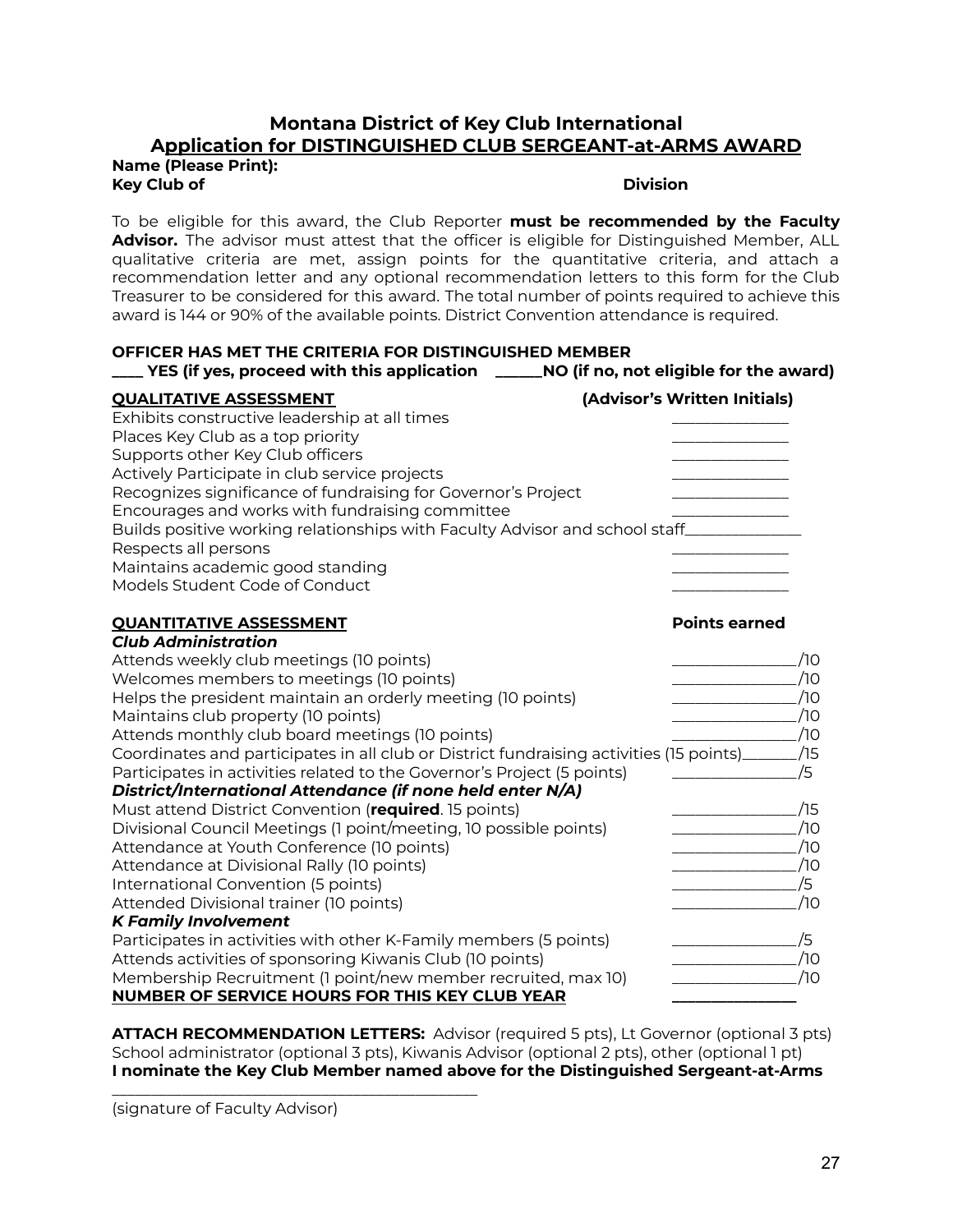### **Montana District of Key Club International Application for DISTINGUISHED CLUB SERGEANT-at-ARMS AWARD**

**Name (Please Print): Key Club of Division**

To be eligible for this award, the Club Reporter **must be recommended by the Faculty Advisor.** The advisor must attest that the officer is eligible for Distinguished Member, ALL qualitative criteria are met, assign points for the quantitative criteria, and attach a recommendation letter and any optional recommendation letters to this form for the Club Treasurer to be considered for this award. The total number of points required to achieve this award is 144 or 90% of the available points. District Convention attendance is required.

### **OFFICER HAS MET THE CRITERIA FOR DISTINGUISHED MEMBER**

| _ YES (if yes, proceed with this application                                | NO (if no, not eligible for the award) |
|-----------------------------------------------------------------------------|----------------------------------------|
| <b>QUALITATIVE ASSESSMENT</b>                                               | (Advisor's Written Initials)           |
| Exhibits constructive leadership at all times                               |                                        |
| Places Key Club as a top priority                                           |                                        |
| Supports other Key Club officers                                            |                                        |
| Actively Participate in club service projects                               |                                        |
| Recognizes significance of fundraising for Governor's Project               |                                        |
| Encourages and works with fundraising committee                             |                                        |
| Builds positive working relationships with Faculty Advisor and school staff |                                        |
| Respects all persons                                                        |                                        |
| Maintains academic good standing                                            |                                        |
| Models Student Code of Conduct                                              |                                        |
|                                                                             |                                        |

### **QUANTITATIVE ASSESSMENT Points earned** *Club Administration* Attends weekly club meetings (10 points) \_\_\_\_\_\_\_\_\_\_\_\_\_\_\_\_ /10 Welcomes members to meetings (10 points) \_\_\_\_\_\_\_\_\_\_\_\_\_\_\_\_ /10 Helps the president maintain an orderly meeting (10 points) \_\_\_\_\_\_\_\_\_\_\_\_\_\_\_\_ /10 Maintains club property (10 points) \_\_\_\_\_\_\_\_\_\_\_\_\_\_\_\_ /10 Attends monthly club board meetings (10 points) \_\_\_\_\_\_\_\_\_\_\_\_\_\_\_\_ /10 Coordinates and participates in all club or District fundraising activities (15 points)\_\_\_\_\_\_\_ /15 Participates in activities related to the Governor's Project (5 points)  $\sqrt{5}$ *District/International Attendance (if none held enter N/A)* Must attend District Convention (**required**. 15 points) \_\_\_\_\_\_\_\_\_\_\_\_\_\_\_\_ /15 Divisional Council Meetings (1 point/meeting, 10 possible points) \_\_\_\_\_\_\_\_\_\_\_\_\_\_\_\_ /10 Attendance at Youth Conference (10 points) \_\_\_\_\_\_\_\_\_\_\_\_\_\_\_\_ /10 Attendance at Divisional Rally (10 points) example to the control of the control of the control of the control o International Convention (5 points) \_\_\_\_\_\_\_\_\_\_\_\_\_\_\_\_ /5 Attended Divisional trainer (10 points) \_\_\_\_\_\_\_\_\_\_\_\_\_\_\_\_ /10 *K Family Involvement* Participates in activities with other K-Family members (5 points) \_\_\_\_\_\_\_\_\_\_\_\_\_\_\_\_ /5 Attends activities of sponsoring Kiwanis Club (10 points) \_\_\_\_\_\_\_\_\_\_\_\_\_\_\_\_ /10 Membership Recruitment (1 point/new member recruited, max 10) \_\_\_\_\_\_\_\_\_\_\_\_\_\_\_\_ /10 **NUMBER OF SERVICE HOURS FOR THIS KEY CLUB YEAR \_\_\_\_\_\_\_\_\_\_\_\_\_\_\_\_**

**ATTACH RECOMMENDATION LETTERS:** Advisor (required 5 pts), Lt Governor (optional 3 pts) School administrator (optional 3 pts), Kiwanis Advisor (optional 2 pts), other (optional 1 pt) **I nominate the Key Club Member named above for the Distinguished Sergeant-at-Arms**

(signature of Faculty Advisor)

\_\_\_\_\_\_\_\_\_\_\_\_\_\_\_\_\_\_\_\_\_\_\_\_\_\_\_\_\_\_\_\_\_\_\_\_\_\_\_\_\_\_\_\_\_\_\_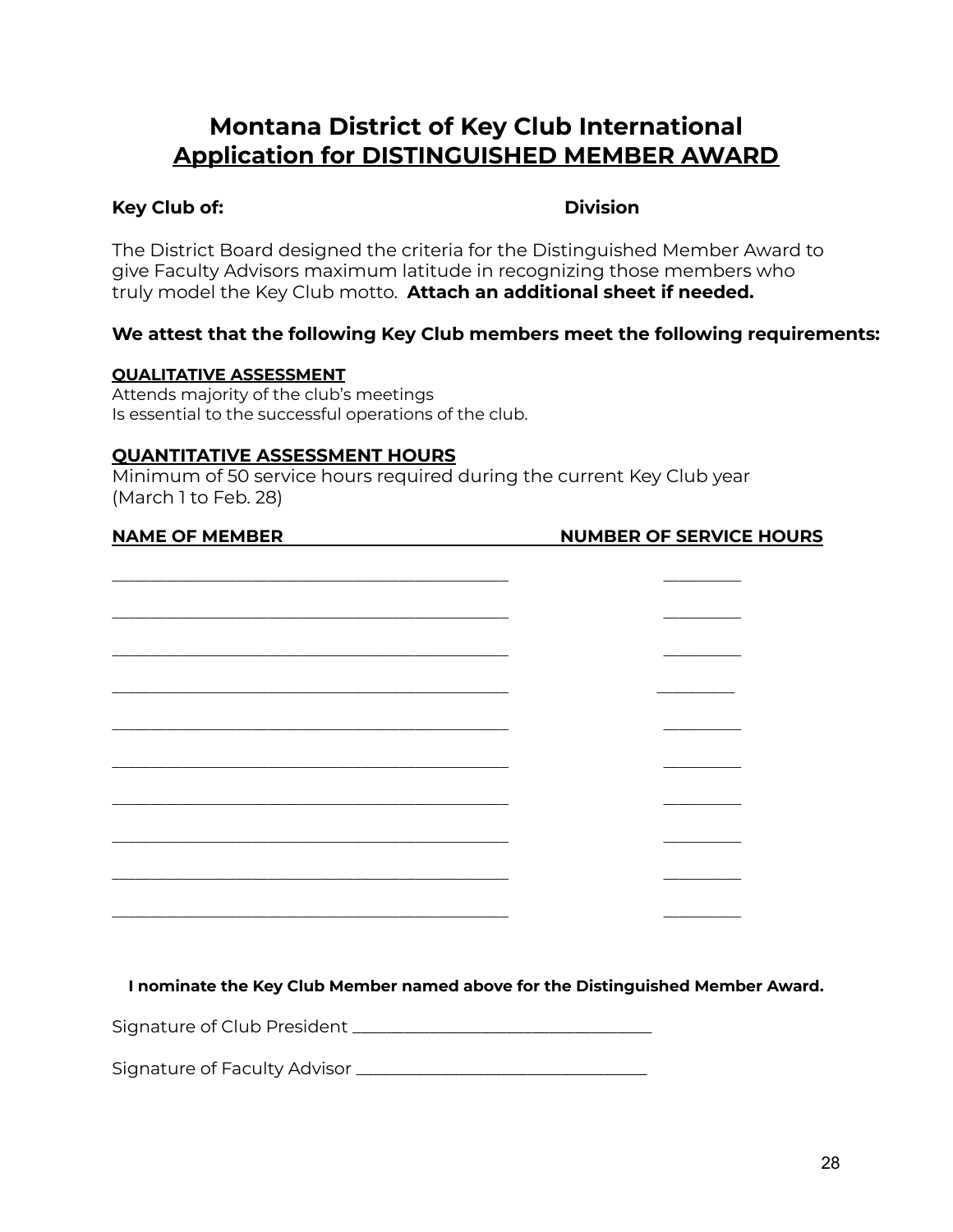### **Montana District of Key Club International Application for DISTINGUISHED MEMBER AWARD**

### **Key Club of: Division**

The District Board designed the criteria for the Distinguished Member Award to give Faculty Advisors maximum latitude in recognizing those members who truly model the Key Club motto. **Attach an additional sheet if needed.**

### **We attest that the following Key Club members meet the following requirements:**

### **QUALITATIVE ASSESSMENT**

Attends majority of the club's meetings Is essential to the successful operations of the club.

### **QUANTITATIVE ASSESSMENT HOURS**

Minimum of 50 service hours required during the current Key Club year (March 1 to Feb. 28)

### **NAME OF MEMBER NUMBER OF SERVICE HOURS**

**I nominate the Key Club Member named above for the Distinguished Member Award.**

Signature of Club President \_\_\_\_\_\_\_\_\_\_\_\_\_\_\_\_\_\_\_\_\_\_\_\_\_\_\_\_\_\_\_\_\_\_\_

Signature of Faculty Advisor \_\_\_\_\_\_\_\_\_\_\_\_\_\_\_\_\_\_\_\_\_\_\_\_\_\_\_\_\_\_\_\_\_\_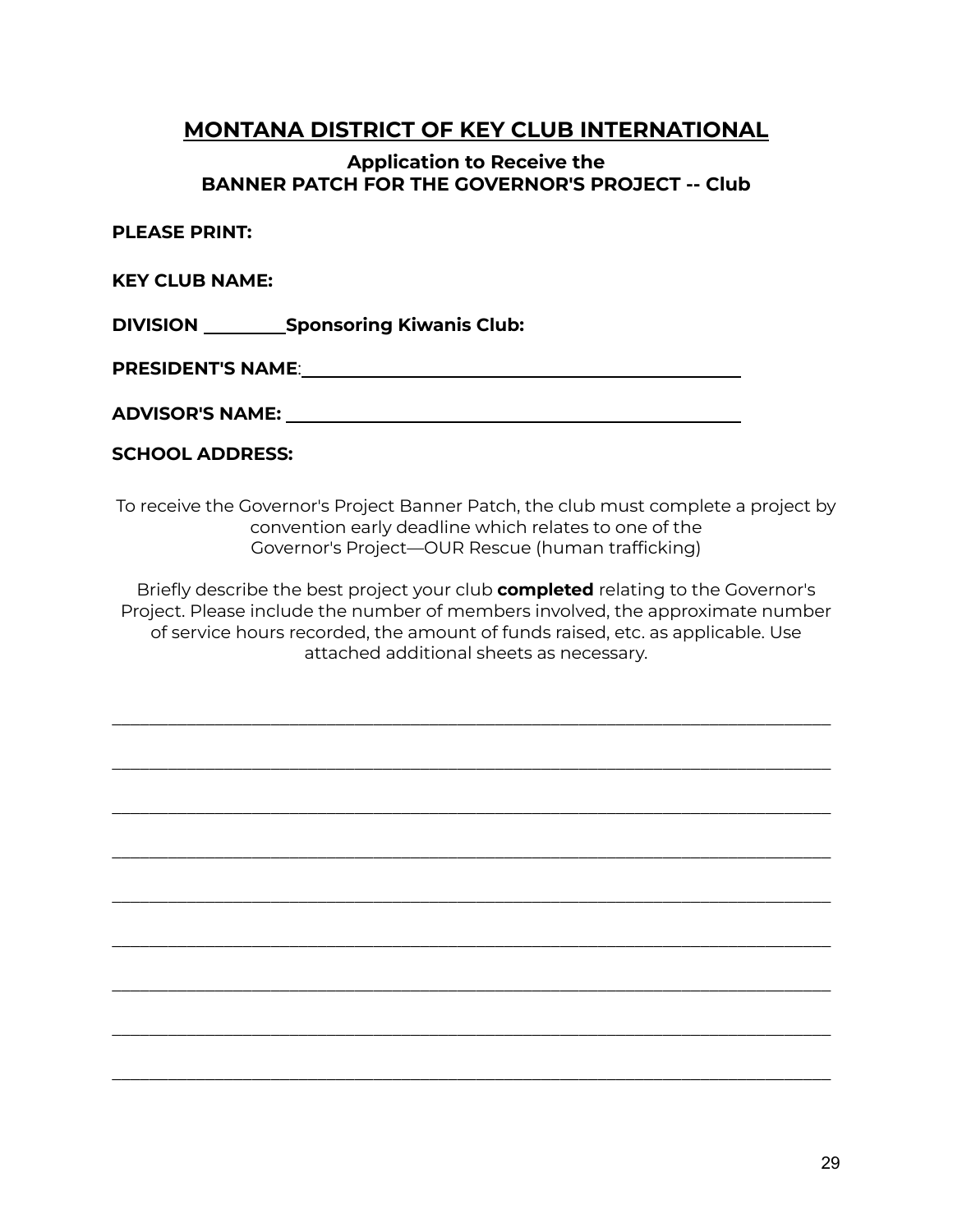### **MONTANA DISTRICT OF KEY CLUB INTERNATIONAL**

### **Application to Receive the BANNER PATCH FOR THE GOVERNOR'S PROJECT -- Club**

**PLEASE PRINT:**

**KEY CLUB NAME:**

**DIVISION Sponsoring Kiwanis Club:**

**PRESIDENT'S NAME**:

**ADVISOR'S NAME:**

### **SCHOOL ADDRESS:**

To receive the Governor's Project Banner Patch, the club must complete a project by convention early deadline which relates to one of the Governor's Project—OUR Rescue (human trafficking)

Briefly describe the best project your club **completed** relating to the Governor's Project. Please include the number of members involved, the approximate number of service hours recorded, the amount of funds raised, etc. as applicable. Use attached additional sheets as necessary.

\_\_\_\_\_\_\_\_\_\_\_\_\_\_\_\_\_\_\_\_\_\_\_\_\_\_\_\_\_\_\_\_\_\_\_\_\_\_\_\_\_\_\_\_\_\_\_\_\_\_\_\_\_\_\_\_\_\_\_\_\_\_\_\_\_\_\_\_\_\_\_\_\_\_\_\_\_

\_\_\_\_\_\_\_\_\_\_\_\_\_\_\_\_\_\_\_\_\_\_\_\_\_\_\_\_\_\_\_\_\_\_\_\_\_\_\_\_\_\_\_\_\_\_\_\_\_\_\_\_\_\_\_\_\_\_\_\_\_\_\_\_\_\_\_\_\_\_\_\_\_\_\_\_\_

\_\_\_\_\_\_\_\_\_\_\_\_\_\_\_\_\_\_\_\_\_\_\_\_\_\_\_\_\_\_\_\_\_\_\_\_\_\_\_\_\_\_\_\_\_\_\_\_\_\_\_\_\_\_\_\_\_\_\_\_\_\_\_\_\_\_\_\_\_\_\_\_\_\_\_\_\_

\_\_\_\_\_\_\_\_\_\_\_\_\_\_\_\_\_\_\_\_\_\_\_\_\_\_\_\_\_\_\_\_\_\_\_\_\_\_\_\_\_\_\_\_\_\_\_\_\_\_\_\_\_\_\_\_\_\_\_\_\_\_\_\_\_\_\_\_\_\_\_\_\_\_\_\_\_

\_\_\_\_\_\_\_\_\_\_\_\_\_\_\_\_\_\_\_\_\_\_\_\_\_\_\_\_\_\_\_\_\_\_\_\_\_\_\_\_\_\_\_\_\_\_\_\_\_\_\_\_\_\_\_\_\_\_\_\_\_\_\_\_\_\_\_\_\_\_\_\_\_\_\_\_\_

\_\_\_\_\_\_\_\_\_\_\_\_\_\_\_\_\_\_\_\_\_\_\_\_\_\_\_\_\_\_\_\_\_\_\_\_\_\_\_\_\_\_\_\_\_\_\_\_\_\_\_\_\_\_\_\_\_\_\_\_\_\_\_\_\_\_\_\_\_\_\_\_\_\_\_\_\_

\_\_\_\_\_\_\_\_\_\_\_\_\_\_\_\_\_\_\_\_\_\_\_\_\_\_\_\_\_\_\_\_\_\_\_\_\_\_\_\_\_\_\_\_\_\_\_\_\_\_\_\_\_\_\_\_\_\_\_\_\_\_\_\_\_\_\_\_\_\_\_\_\_\_\_\_\_

\_\_\_\_\_\_\_\_\_\_\_\_\_\_\_\_\_\_\_\_\_\_\_\_\_\_\_\_\_\_\_\_\_\_\_\_\_\_\_\_\_\_\_\_\_\_\_\_\_\_\_\_\_\_\_\_\_\_\_\_\_\_\_\_\_\_\_\_\_\_\_\_\_\_\_\_\_

\_\_\_\_\_\_\_\_\_\_\_\_\_\_\_\_\_\_\_\_\_\_\_\_\_\_\_\_\_\_\_\_\_\_\_\_\_\_\_\_\_\_\_\_\_\_\_\_\_\_\_\_\_\_\_\_\_\_\_\_\_\_\_\_\_\_\_\_\_\_\_\_\_\_\_\_\_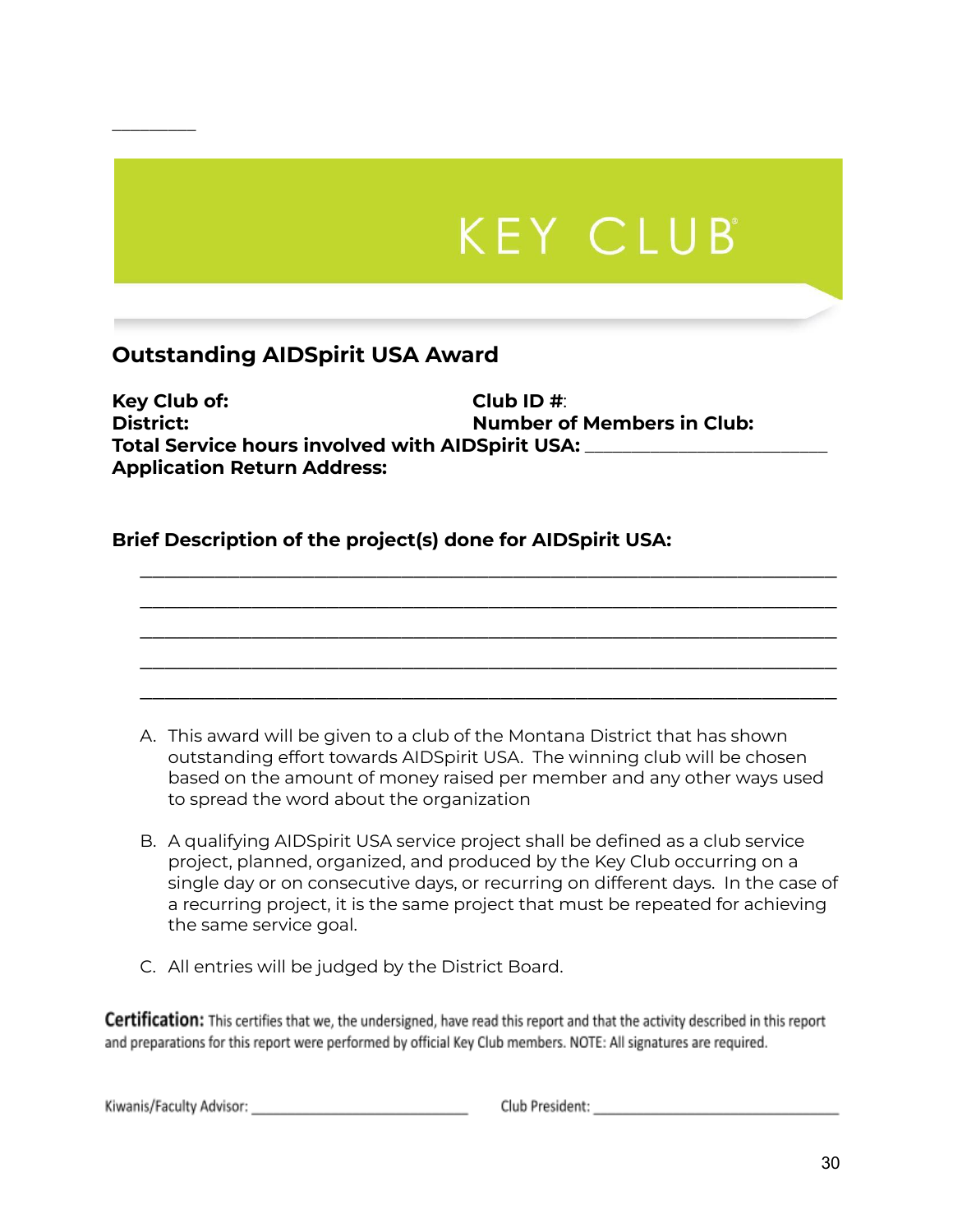# **KEY CLUB**

### **Outstanding AIDSpirit USA Award**

 $\overline{\phantom{a}}$  , where  $\overline{\phantom{a}}$ 

**Key Club of: Club ID #**: **District: Number of Members in Club: Total Service hours involved with AIDSpirit USA:** \_\_\_\_\_\_\_\_\_\_\_\_\_\_\_\_\_\_\_\_\_\_\_\_\_\_ **Application Return Address:**

### **Brief Description of the project(s) done for AIDSpirit USA:**

A. This award will be given to a club of the Montana District that has shown outstanding effort towards AIDSpirit USA. The winning club will be chosen based on the amount of money raised per member and any other ways used to spread the word about the organization

\_\_\_\_\_\_\_\_\_\_\_\_\_\_\_\_\_\_\_\_\_\_\_\_\_\_\_\_\_\_\_\_\_\_\_\_\_\_\_\_\_\_\_\_\_\_\_\_\_\_\_\_\_\_\_\_ \_\_\_\_\_\_\_\_\_\_\_\_\_\_\_\_\_\_\_\_\_\_\_\_\_\_\_\_\_\_\_\_\_\_\_\_\_\_\_\_\_\_\_\_\_\_\_\_\_\_\_\_\_\_\_\_ \_\_\_\_\_\_\_\_\_\_\_\_\_\_\_\_\_\_\_\_\_\_\_\_\_\_\_\_\_\_\_\_\_\_\_\_\_\_\_\_\_\_\_\_\_\_\_\_\_\_\_\_\_\_\_\_ \_\_\_\_\_\_\_\_\_\_\_\_\_\_\_\_\_\_\_\_\_\_\_\_\_\_\_\_\_\_\_\_\_\_\_\_\_\_\_\_\_\_\_\_\_\_\_\_\_\_\_\_\_\_\_\_ \_\_\_\_\_\_\_\_\_\_\_\_\_\_\_\_\_\_\_\_\_\_\_\_\_\_\_\_\_\_\_\_\_\_\_\_\_\_\_\_\_\_\_\_\_\_\_\_\_\_\_\_\_\_\_\_

- B. A qualifying AIDSpirit USA service project shall be defined as a club service project, planned, organized, and produced by the Key Club occurring on a single day or on consecutive days, or recurring on different days. In the case of a recurring project, it is the same project that must be repeated for achieving the same service goal.
- C. All entries will be judged by the District Board.

**Certification:** This certifies that we, the undersigned, have read this report and that the activity described in this report and preparations for this report were performed by official Key Club members. NOTE: All signatures are required.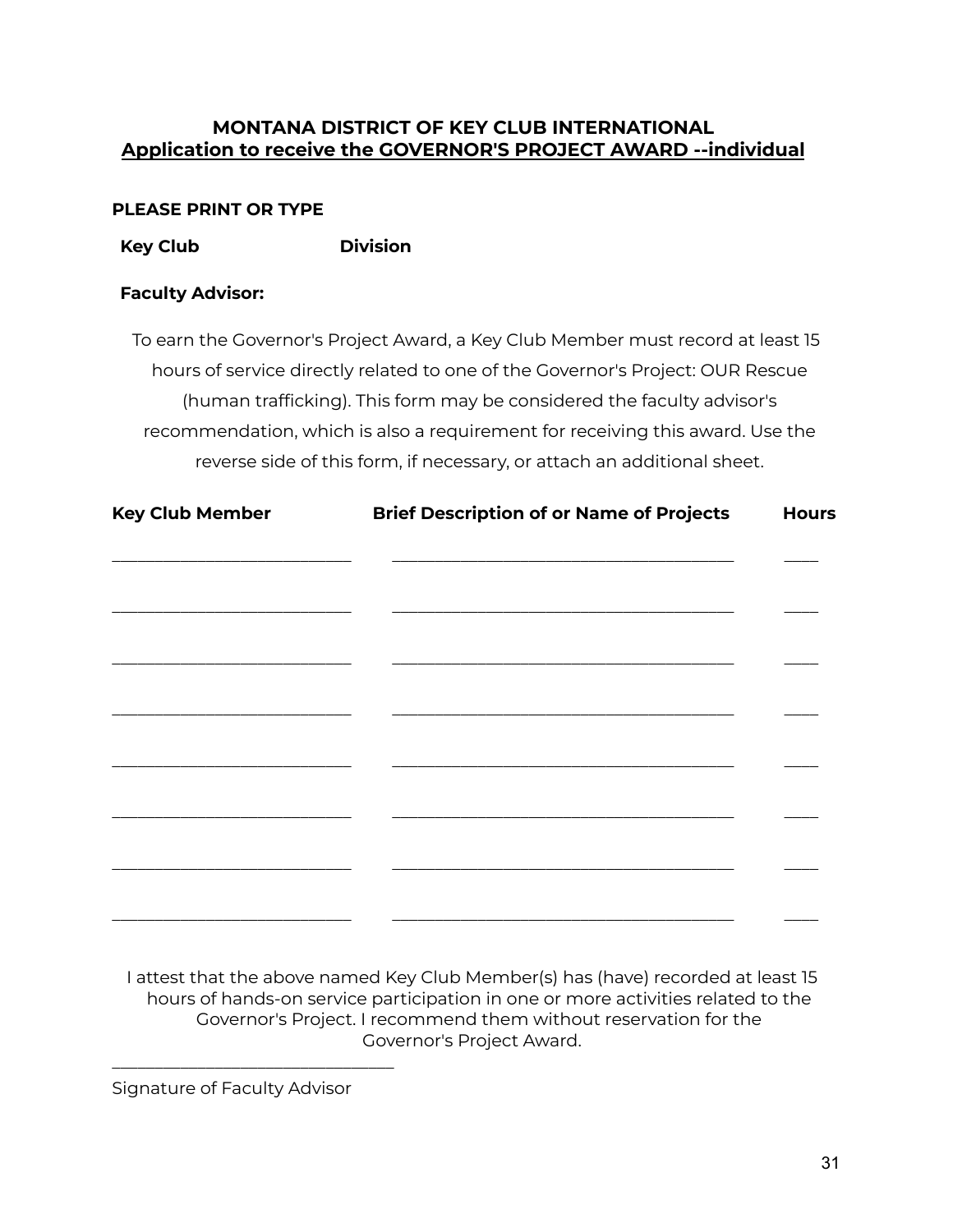### **MONTANA DISTRICT OF KEY CLUB INTERNATIONAL Application to receive the GOVERNOR'S PROJECT AWARD --individual**

### **PLEASE PRINT OR TYPE**

**Key Club Division**

### **Faculty Advisor:**

To earn the Governor's Project Award, a Key Club Member must record at least 15 hours of service directly related to one of the Governor's Project: OUR Rescue (human trafficking). This form may be considered the faculty advisor's recommendation, which is also a requirement for receiving this award. Use the reverse side of this form, if necessary, or attach an additional sheet.

| <b>Key Club Member</b> | <b>Brief Description of or Name of Projects</b> | <b>Hours</b> |
|------------------------|-------------------------------------------------|--------------|
|                        |                                                 |              |
|                        |                                                 |              |
|                        |                                                 |              |
|                        |                                                 |              |
|                        |                                                 |              |
|                        |                                                 |              |
|                        |                                                 |              |
|                        |                                                 |              |
|                        |                                                 |              |

I attest that the above named Key Club Member(s) has (have) recorded at least 15 hours of hands-on service participation in one or more activities related to the Governor's Project. I recommend them without reservation for the Governor's Project Award.

Signature of Faculty Advisor

\_\_\_\_\_\_\_\_\_\_\_\_\_\_\_\_\_\_\_\_\_\_\_\_\_\_\_\_\_\_\_\_\_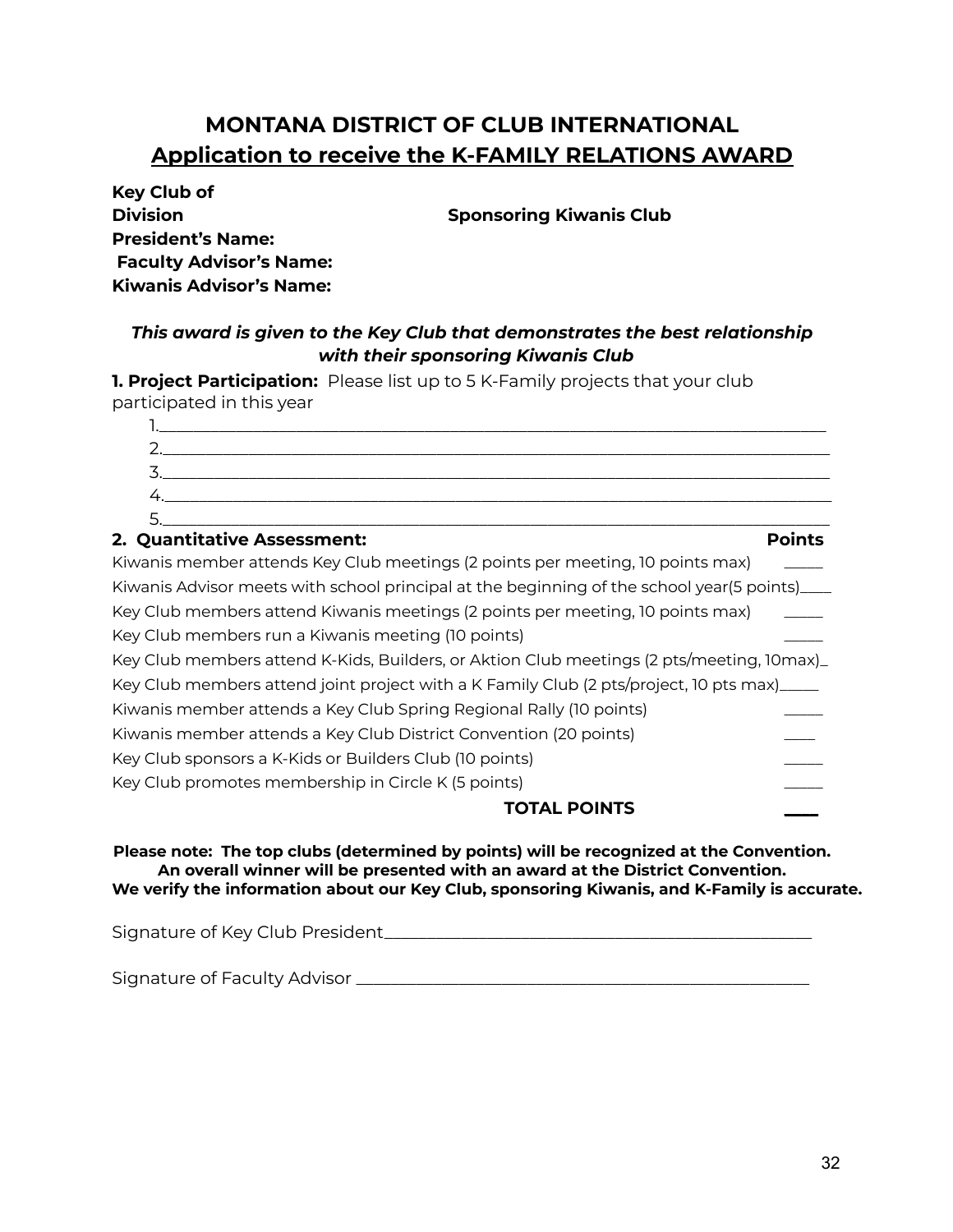### **MONTANA DISTRICT OF CLUB INTERNATIONAL Application to receive the K-FAMILY RELATIONS AWARD**

| <b>Key Club of</b>             |
|--------------------------------|
| <b>Division</b>                |
| <b>President's Name:</b>       |
| <b>Faculty Advisor's Name:</b> |
| <b>Kiwanis Advisor's Name:</b> |

**Sponsoring Kiwanis Club** 

### *This award is given to the Key Club that demonstrates the best relationship with their sponsoring Kiwanis Club*

**1. Project Participation:** Please list up to 5 K-Family projects that your club participated in this year

### **2. Quantitative Assessment: Points**

Kiwanis member attends Key Club meetings (2 points per meeting, 10 points max) \_\_\_\_\_ Kiwanis Advisor meets with school principal at the beginning of the school year(5 points)\_\_\_ Key Club members attend Kiwanis meetings (2 points per meeting, 10 points max) Key Club members run a Kiwanis meeting (10 points) Key Club members attend K-Kids, Builders, or Aktion Club meetings (2 pts/meeting, 10max)\_ Key Club members attend joint project with a K Family Club (2 pts/project, 10 pts max)\_\_\_\_\_ Kiwanis member attends a Key Club Spring Regional Rally (10 points) \_\_\_\_\_ Kiwanis member attends a Key Club District Convention (20 points) \_\_\_\_ Key Club sponsors a K-Kids or Builders Club (10 points) Key Club promotes membership in Circle K (5 points)

### **TOTAL POINTS \_\_\_\_**

**Please note: The top clubs (determined by points) will be recognized at the Convention. An overall winner will be presented with an award at the District Convention. We verify the information about our Key Club, sponsoring Kiwanis, and K-Family is accurate.**

Signature of Key Club President\_\_\_\_\_\_\_\_\_\_\_\_\_\_\_\_\_\_\_\_\_\_\_\_\_\_\_\_\_\_\_\_\_\_\_\_\_\_\_\_\_\_\_\_\_\_\_\_\_\_

Signature of Faculty Advisor \_\_\_\_\_\_\_\_\_\_\_\_\_\_\_\_\_\_\_\_\_\_\_\_\_\_\_\_\_\_\_\_\_\_\_\_\_\_\_\_\_\_\_\_\_\_\_\_\_\_\_\_\_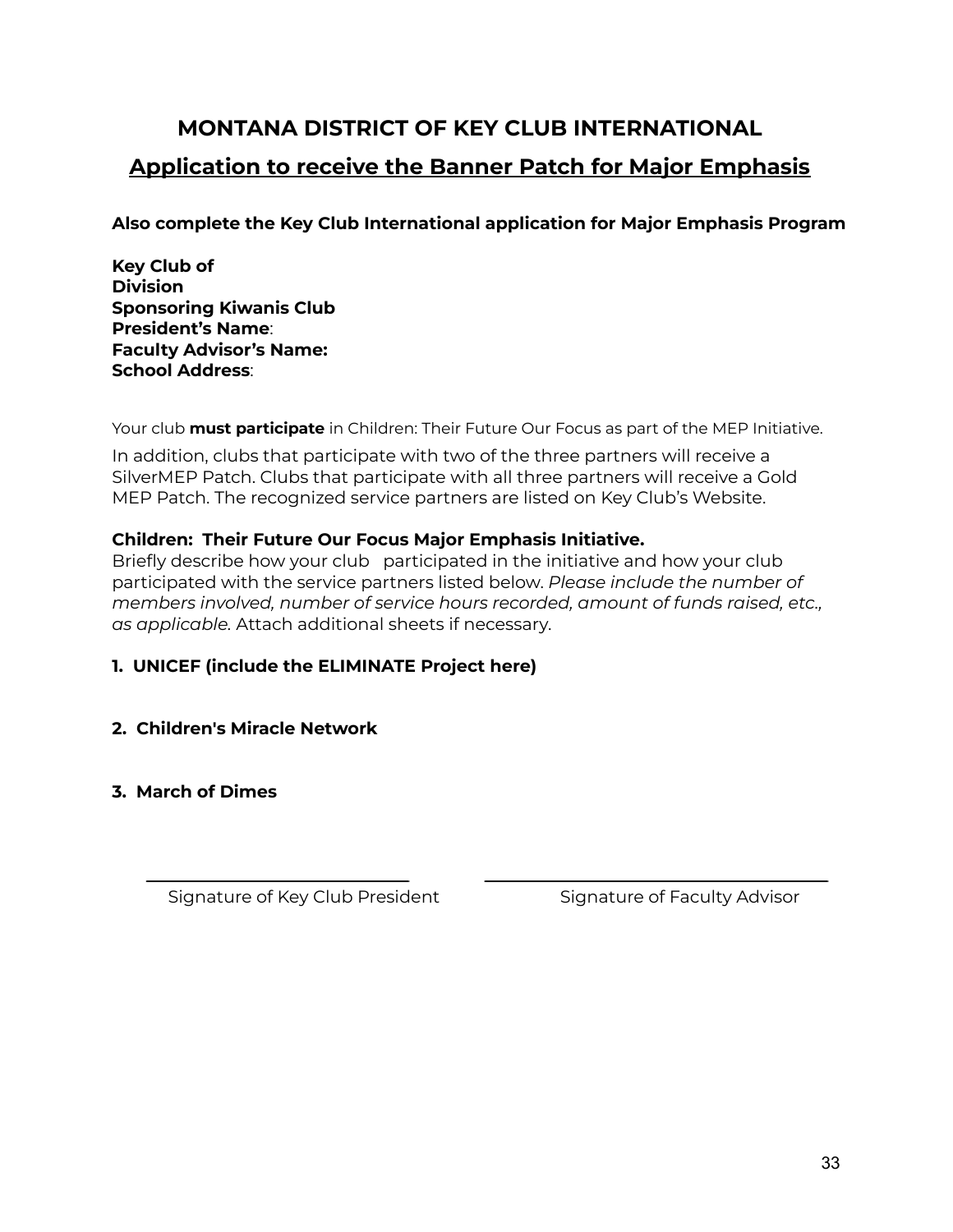## **MONTANA DISTRICT OF KEY CLUB INTERNATIONAL Application to receive the Banner Patch for Major Emphasis**

**Also complete the Key Club International application for Major Emphasis Program**

**Key Club of Division Sponsoring Kiwanis Club President's Name**: **Faculty Advisor's Name: School Address**:

Your club **must participate** in Children: Their Future Our Focus as part of the MEP Initiative.

In addition, clubs that participate with two of the three partners will receive a SilverMEP Patch. Clubs that participate with all three partners will receive a Gold MEP Patch. The recognized service partners are listed on Key Club's Website.

### **Children: Their Future Our Focus Major Emphasis Initiative.**

Briefly describe how your club participated in the initiative and how your club participated with the service partners listed below. *Please include the number of members involved, number of service hours recorded, amount of funds raised, etc., as applicable.* Attach additional sheets if necessary.

### **1. UNICEF (include the ELIMINATE Project here)**

### **2. Children's Miracle Network**

### **3. March of Dimes**

Signature of Key Club President Signature of Faculty Advisor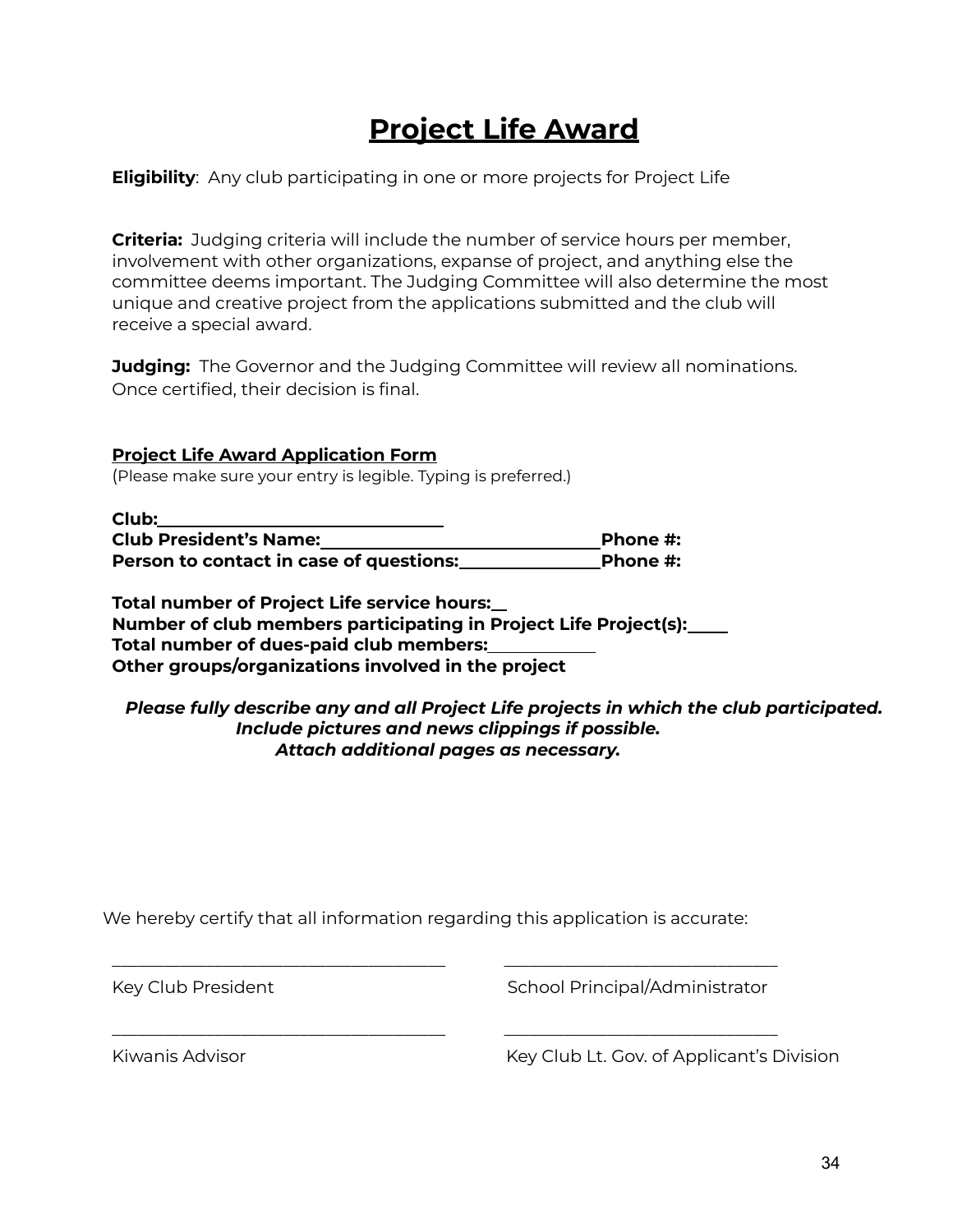## **Project Life Award**

### **Eligibility**: Any club participating in one or more projects for Project Life

**Criteria:** Judging criteria will include the number of service hours per member, involvement with other organizations, expanse of project, and anything else the committee deems important. The Judging Committee will also determine the most unique and creative project from the applications submitted and the club will receive a special award.

**Judging:** The Governor and the Judging Committee will review all nominations. Once certified, their decision is final.

### **Project Life Award Application Form**

(Please make sure your entry is legible. Typing is preferred.)

| Club:                                   |          |
|-----------------------------------------|----------|
| <b>Club President's Name:</b>           | Phone #: |
| Person to contact in case of questions: | Phone #: |

**Total number of Project Life service hours: Number of club members participating in Project Life Project(s): Total number of dues-paid club members: Other groups/organizations involved in the project**

### *Please fully describe any and all Project Life projects in which the club participated. Include pictures and news clippings if possible. Attach additional pages as necessary.*

We hereby certify that all information regarding this application is accurate:

\_\_\_\_\_\_\_\_\_\_\_\_\_\_\_\_\_\_\_\_\_\_\_\_\_\_\_\_\_\_\_\_\_\_\_\_\_\_\_ \_\_\_\_\_\_\_\_\_\_\_\_\_\_\_\_\_\_\_\_\_\_\_\_\_\_\_\_\_\_\_\_

\_\_\_\_\_\_\_\_\_\_\_\_\_\_\_\_\_\_\_\_\_\_\_\_\_\_\_\_\_\_\_\_\_\_\_\_\_\_\_ \_\_\_\_\_\_\_\_\_\_\_\_\_\_\_\_\_\_\_\_\_\_\_\_\_\_\_\_\_\_\_\_

Key Club President The School Principal/Administrator

Kiwanis Advisor **Key Club Lt. Gov. of Applicant's Division**